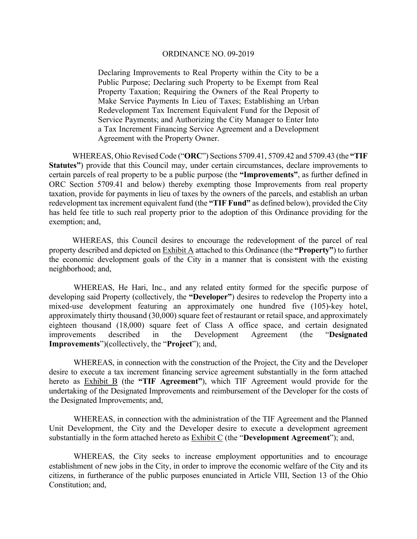Declaring Improvements to Real Property within the City to be a Public Purpose; Declaring such Property to be Exempt from Real Property Taxation; Requiring the Owners of the Real Property to Make Service Payments In Lieu of Taxes; Establishing an Urban Redevelopment Tax Increment Equivalent Fund for the Deposit of Service Payments; and Authorizing the City Manager to Enter Into a Tax Increment Financing Service Agreement and a Development Agreement with the Property Owner.

 WHEREAS, Ohio Revised Code ("**ORC**") Sections 5709.41, 5709.42 and 5709.43 (the **"TIF Statutes"**) provide that this Council may, under certain circumstances, declare improvements to certain parcels of real property to be a public purpose (the **"Improvements"**, as further defined in ORC Section 5709.41 and below) thereby exempting those Improvements from real property taxation, provide for payments in lieu of taxes by the owners of the parcels, and establish an urban redevelopment tax increment equivalent fund (the **"TIF Fund"** as defined below), provided the City has held fee title to such real property prior to the adoption of this Ordinance providing for the exemption; and,

 WHEREAS, this Council desires to encourage the redevelopment of the parcel of real property described and depicted on Exhibit A attached to this Ordinance (the **"Property"**) to further the economic development goals of the City in a manner that is consistent with the existing neighborhood; and,

WHEREAS, He Hari, Inc., and any related entity formed for the specific purpose of developing said Property (collectively, the **"Developer"**) desires to redevelop the Property into a mixed-use development featuring an approximately one hundred five (105)-key hotel, approximately thirty thousand (30,000) square feet of restaurant or retail space, and approximately eighteen thousand (18,000) square feet of Class A office space, and certain designated improvements described in the Development Agreement (the "**Designated Improvements**")(collectively, the "**Project**"); and,

WHEREAS, in connection with the construction of the Project, the City and the Developer desire to execute a tax increment financing service agreement substantially in the form attached hereto as Exhibit B (the **"TIF Agreement"**), which TIF Agreement would provide for the undertaking of the Designated Improvements and reimbursement of the Developer for the costs of the Designated Improvements; and,

WHEREAS, in connection with the administration of the TIF Agreement and the Planned Unit Development, the City and the Developer desire to execute a development agreement substantially in the form attached hereto as Exhibit C (the "**Development Agreement**"); and,

 WHEREAS, the City seeks to increase employment opportunities and to encourage establishment of new jobs in the City, in order to improve the economic welfare of the City and its citizens, in furtherance of the public purposes enunciated in Article VIII, Section 13 of the Ohio Constitution; and,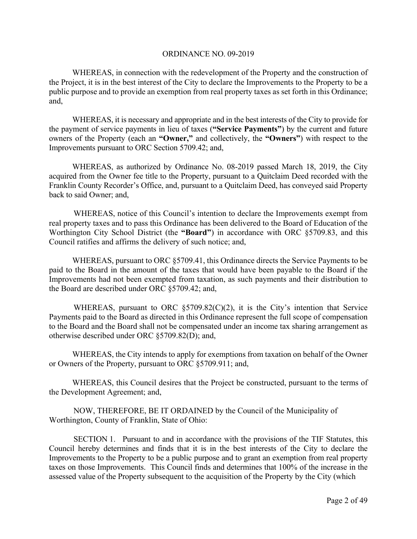WHEREAS, in connection with the redevelopment of the Property and the construction of the Project, it is in the best interest of the City to declare the Improvements to the Property to be a public purpose and to provide an exemption from real property taxes as set forth in this Ordinance; and,

 WHEREAS, it is necessary and appropriate and in the best interests of the City to provide for the payment of service payments in lieu of taxes (**"Service Payments"**) by the current and future owners of the Property (each an **"Owner,"** and collectively, the **"Owners"**) with respect to the Improvements pursuant to ORC Section 5709.42; and,

 WHEREAS, as authorized by Ordinance No. 08-2019 passed March 18, 2019, the City acquired from the Owner fee title to the Property, pursuant to a Quitclaim Deed recorded with the Franklin County Recorder's Office, and, pursuant to a Quitclaim Deed, has conveyed said Property back to said Owner; and,

 WHEREAS, notice of this Council's intention to declare the Improvements exempt from real property taxes and to pass this Ordinance has been delivered to the Board of Education of the Worthington City School District (the **"Board"**) in accordance with ORC §5709.83, and this Council ratifies and affirms the delivery of such notice; and,

 WHEREAS, pursuant to ORC §5709.41, this Ordinance directs the Service Payments to be paid to the Board in the amount of the taxes that would have been payable to the Board if the Improvements had not been exempted from taxation, as such payments and their distribution to the Board are described under ORC §5709.42; and,

WHEREAS, pursuant to ORC  $\S5709.82(C)(2)$ , it is the City's intention that Service Payments paid to the Board as directed in this Ordinance represent the full scope of compensation to the Board and the Board shall not be compensated under an income tax sharing arrangement as otherwise described under ORC §5709.82(D); and,

 WHEREAS, the City intends to apply for exemptions from taxation on behalf of the Owner or Owners of the Property, pursuant to ORC §5709.911; and,

WHEREAS, this Council desires that the Project be constructed, pursuant to the terms of the Development Agreement; and,

 NOW, THEREFORE, BE IT ORDAINED by the Council of the Municipality of Worthington, County of Franklin, State of Ohio:

 SECTION 1. Pursuant to and in accordance with the provisions of the TIF Statutes, this Council hereby determines and finds that it is in the best interests of the City to declare the Improvements to the Property to be a public purpose and to grant an exemption from real property taxes on those Improvements. This Council finds and determines that 100% of the increase in the assessed value of the Property subsequent to the acquisition of the Property by the City (which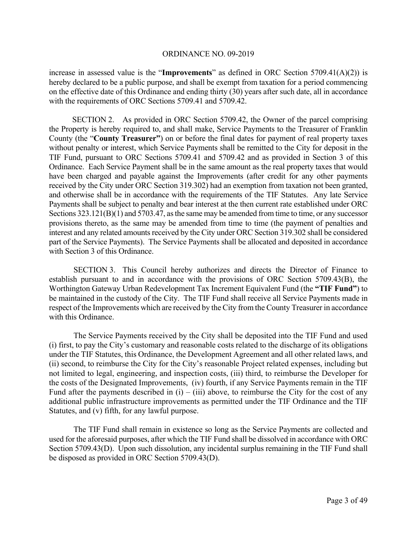increase in assessed value is the "**Improvements**" as defined in ORC Section 5709.41(A)(2)) is hereby declared to be a public purpose, and shall be exempt from taxation for a period commencing on the effective date of this Ordinance and ending thirty (30) years after such date, all in accordance with the requirements of ORC Sections 5709.41 and 5709.42.

 SECTION 2. As provided in ORC Section 5709.42, the Owner of the parcel comprising the Property is hereby required to, and shall make, Service Payments to the Treasurer of Franklin County (the "**County Treasurer"**) on or before the final dates for payment of real property taxes without penalty or interest, which Service Payments shall be remitted to the City for deposit in the TIF Fund, pursuant to ORC Sections 5709.41 and 5709.42 and as provided in Section 3 of this Ordinance. Each Service Payment shall be in the same amount as the real property taxes that would have been charged and payable against the Improvements (after credit for any other payments received by the City under ORC Section 319.302) had an exemption from taxation not been granted, and otherwise shall be in accordance with the requirements of the TIF Statutes. Any late Service Payments shall be subject to penalty and bear interest at the then current rate established under ORC Sections 323.121(B)(1) and 5703.47, as the same may be amended from time to time, or any successor provisions thereto, as the same may be amended from time to time (the payment of penalties and interest and any related amounts received by the City under ORC Section 319.302 shall be considered part of the Service Payments). The Service Payments shall be allocated and deposited in accordance with Section 3 of this Ordinance.

 SECTION 3. This Council hereby authorizes and directs the Director of Finance to establish pursuant to and in accordance with the provisions of ORC Section 5709.43(B), the Worthington Gateway Urban Redevelopment Tax Increment Equivalent Fund (the **"TIF Fund"**) to be maintained in the custody of the City. The TIF Fund shall receive all Service Payments made in respect of the Improvements which are received by the City from the County Treasurer in accordance with this Ordinance.

 The Service Payments received by the City shall be deposited into the TIF Fund and used (i) first, to pay the City's customary and reasonable costs related to the discharge of its obligations under the TIF Statutes, this Ordinance, the Development Agreement and all other related laws, and (ii) second, to reimburse the City for the City's reasonable Project related expenses, including but not limited to legal, engineering, and inspection costs, (iii) third, to reimburse the Developer for the costs of the Designated Improvements, (iv) fourth, if any Service Payments remain in the TIF Fund after the payments described in  $(i) - (iii)$  above, to reimburse the City for the cost of any additional public infrastructure improvements as permitted under the TIF Ordinance and the TIF Statutes, and (v) fifth, for any lawful purpose.

 The TIF Fund shall remain in existence so long as the Service Payments are collected and used for the aforesaid purposes, after which the TIF Fund shall be dissolved in accordance with ORC Section 5709.43(D). Upon such dissolution, any incidental surplus remaining in the TIF Fund shall be disposed as provided in ORC Section 5709.43(D).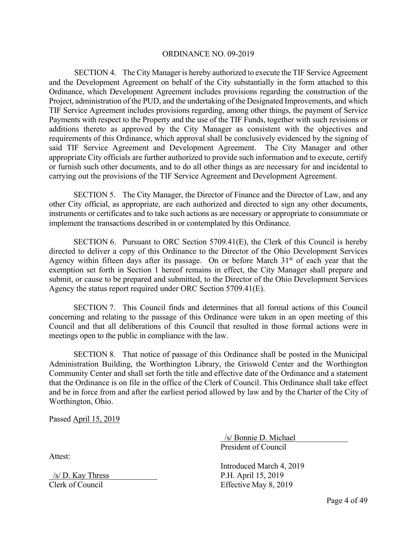SECTION 4. The City Manager is hereby authorized to execute the TIF Service Agreement and the Development Agreement on behalf of the City substantially in the form attached to this Ordinance, which Development Agreement includes provisions regarding the construction of the Project, administration of the PUD, and the undertaking of the Designated Improvements, and which TIF Service Agreement includes provisions regarding, among other things, the payment of Service Payments with respect to the Property and the use of the TIF Funds, together with such revisions or additions thereto as approved by the City Manager as consistent with the objectives and requirements of this Ordinance, which approval shall be conclusively evidenced by the signing of said TIF Service Agreement and Development Agreement. The City Manager and other appropriate City officials are further authorized to provide such information and to execute, certify or furnish such other documents, and to do all other things as are necessary for and incidental to carrying out the provisions of the TIF Service Agreement and Development Agreement.

SECTION 5. The City Manager, the Director of Finance and the Director of Law, and any other City official, as appropriate, are each authorized and directed to sign any other documents, instruments or certificates and to take such actions as are necessary or appropriate to consummate or implement the transactions described in or contemplated by this Ordinance.

SECTION 6. Pursuant to ORC Section  $5709.41(E)$ , the Clerk of this Council is hereby directed to deliver a copy of this Ordinance to the Director of the Ohio Development Services Agency within fifteen days after its passage. On or before March  $31<sup>st</sup>$  of each year that the exemption set forth in Section 1 hereof remains in effect, the City Manager shall prepare and submit, or cause to be prepared and submitted, to the Director of the Ohio Development Services Agency the status report required under ORC Section 5709.41(E).

 SECTION 7. This Council finds and determines that all formal actions of this Council concerning and relating to the passage of this Ordinance were taken in an open meeting of this Council and that all deliberations of this Council that resulted in those formal actions were in meetings open to the public in compliance with the law.

 SECTION 8. That notice of passage of this Ordinance shall be posted in the Municipal Administration Building, the Worthington Library, the Griswold Center and the Worthington Community Center and shall set forth the title and effective date of the Ordinance and a statement that the Ordinance is on file in the office of the Clerk of Council. This Ordinance shall take effect and be in force from and after the earliest period allowed by law and by the Charter of the City of Worthington, Ohio.

Passed April 15, 2019

Attest:

 $/s/D$ . Kay Thress P.H. April 15, 2019 Clerk of Council Effective May 8, 2019

 \_/s/ Bonnie D. Michael\_\_\_\_\_\_\_\_\_\_\_\_\_ President of Council

Introduced March 4, 2019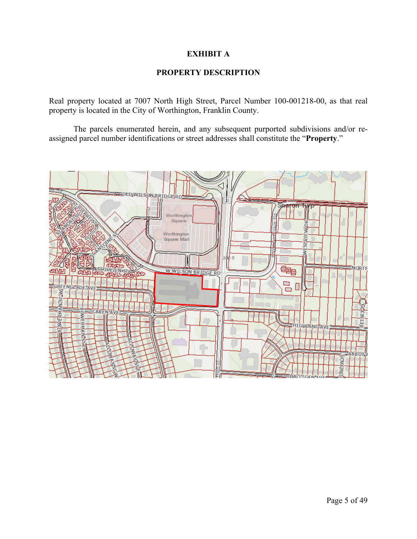## **EXHIBIT A**

## **PROPERTY DESCRIPTION**

Real property located at 7007 North High Street, Parcel Number 100-001218-00, as that real property is located in the City of Worthington, Franklin County.

 The parcels enumerated herein, and any subsequent purported subdivisions and/or reassigned parcel number identifications or street addresses shall constitute the "**Property**."

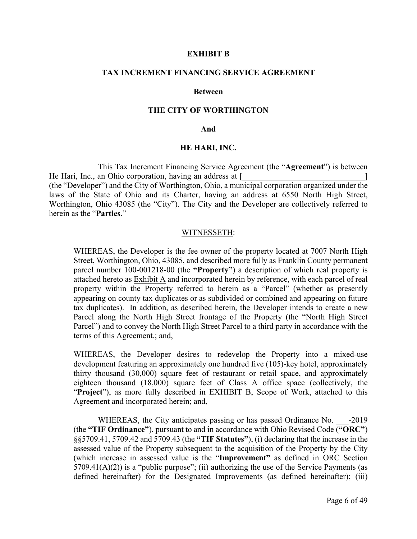#### **EXHIBIT B**

### **TAX INCREMENT FINANCING SERVICE AGREEMENT**

#### **Between**

#### **THE CITY OF WORTHINGTON**

#### **And**

#### **HE HARI, INC.**

 This Tax Increment Financing Service Agreement (the "**Agreement**") is between He Hari, Inc., an Ohio corporation, having an address at  $\lceil \cdot \rceil$ (the "Developer") and the City of Worthington, Ohio, a municipal corporation organized under the laws of the State of Ohio and its Charter, having an address at 6550 North High Street, Worthington, Ohio 43085 (the "City"). The City and the Developer are collectively referred to herein as the "**Parties**."

#### WITNESSETH:

WHEREAS, the Developer is the fee owner of the property located at 7007 North High Street, Worthington, Ohio, 43085, and described more fully as Franklin County permanent parcel number 100-001218-00 (the **"Property"**) a description of which real property is attached hereto as Exhibit A and incorporated herein by reference, with each parcel of real property within the Property referred to herein as a "Parcel" (whether as presently appearing on county tax duplicates or as subdivided or combined and appearing on future tax duplicates). In addition, as described herein, the Developer intends to create a new Parcel along the North High Street frontage of the Property (the "North High Street Parcel") and to convey the North High Street Parcel to a third party in accordance with the terms of this Agreement.; and,

WHEREAS, the Developer desires to redevelop the Property into a mixed-use development featuring an approximately one hundred five (105)-key hotel, approximately thirty thousand (30,000) square feet of restaurant or retail space, and approximately eighteen thousand (18,000) square feet of Class A office space (collectively, the "**Project**"), as more fully described in EXHIBIT B, Scope of Work, attached to this Agreement and incorporated herein; and,

WHEREAS, the City anticipates passing or has passed Ordinance No. -2019 (the **"TIF Ordinance"**), pursuant to and in accordance with Ohio Revised Code (**"ORC"**) §§5709.41, 5709.42 and 5709.43 (the **"TIF Statutes"**), (i) declaring that the increase in the assessed value of the Property subsequent to the acquisition of the Property by the City (which increase in assessed value is the "**Improvement"** as defined in ORC Section  $5709.41(A)(2)$ ) is a "public purpose"; (ii) authorizing the use of the Service Payments (as defined hereinafter) for the Designated Improvements (as defined hereinafter); (iii)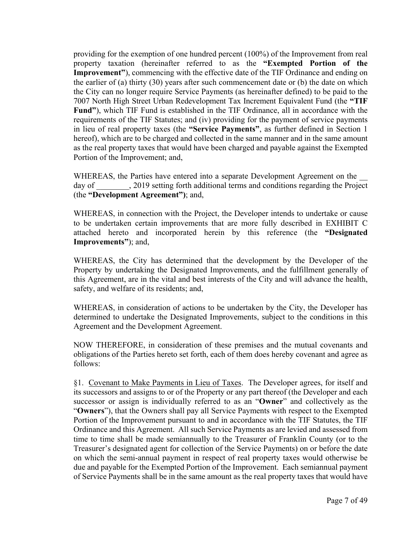providing for the exemption of one hundred percent (100%) of the Improvement from real property taxation (hereinafter referred to as the **"Exempted Portion of the Improvement**"), commencing with the effective date of the TIF Ordinance and ending on the earlier of (a) thirty (30) years after such commencement date or (b) the date on which the City can no longer require Service Payments (as hereinafter defined) to be paid to the 7007 North High Street Urban Redevelopment Tax Increment Equivalent Fund (the **"TIF Fund"**), which TIF Fund is established in the TIF Ordinance, all in accordance with the requirements of the TIF Statutes; and (iv) providing for the payment of service payments in lieu of real property taxes (the **"Service Payments"**, as further defined in Section 1 hereof), which are to be charged and collected in the same manner and in the same amount as the real property taxes that would have been charged and payable against the Exempted Portion of the Improvement; and,

WHEREAS, the Parties have entered into a separate Development Agreement on the day of  $\qquad \qquad$ , 2019 setting forth additional terms and conditions regarding the Project (the **"Development Agreement")**; and,

WHEREAS, in connection with the Project, the Developer intends to undertake or cause to be undertaken certain improvements that are more fully described in EXHIBIT C attached hereto and incorporated herein by this reference (the **"Designated Improvements"**); and,

WHEREAS, the City has determined that the development by the Developer of the Property by undertaking the Designated Improvements, and the fulfillment generally of this Agreement, are in the vital and best interests of the City and will advance the health, safety, and welfare of its residents; and,

 WHEREAS, in consideration of actions to be undertaken by the City, the Developer has determined to undertake the Designated Improvements, subject to the conditions in this Agreement and the Development Agreement.

NOW THEREFORE, in consideration of these premises and the mutual covenants and obligations of the Parties hereto set forth, each of them does hereby covenant and agree as follows:

 §1. Covenant to Make Payments in Lieu of Taxes. The Developer agrees, for itself and its successors and assigns to or of the Property or any part thereof (the Developer and each successor or assign is individually referred to as an "**Owner**" and collectively as the "**Owners**"), that the Owners shall pay all Service Payments with respect to the Exempted Portion of the Improvement pursuant to and in accordance with the TIF Statutes, the TIF Ordinance and this Agreement. All such Service Payments as are levied and assessed from time to time shall be made semiannually to the Treasurer of Franklin County (or to the Treasurer's designated agent for collection of the Service Payments) on or before the date on which the semi-annual payment in respect of real property taxes would otherwise be due and payable for the Exempted Portion of the Improvement. Each semiannual payment of Service Payments shall be in the same amount as the real property taxes that would have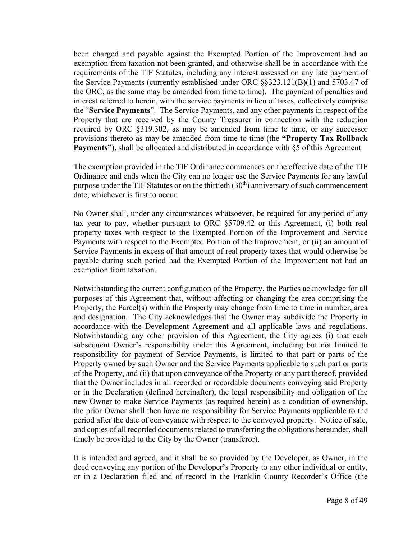been charged and payable against the Exempted Portion of the Improvement had an exemption from taxation not been granted, and otherwise shall be in accordance with the requirements of the TIF Statutes, including any interest assessed on any late payment of the Service Payments (currently established under ORC §§323.121(B)(1) and 5703.47 of the ORC, as the same may be amended from time to time). The payment of penalties and interest referred to herein, with the service payments in lieu of taxes, collectively comprise the "**Service Payments**". The Service Payments, and any other payments in respect of the Property that are received by the County Treasurer in connection with the reduction required by ORC §319.302, as may be amended from time to time, or any successor provisions thereto as may be amended from time to time (the **"Property Tax Rollback Payments"**), shall be allocated and distributed in accordance with §5 of this Agreement.

 The exemption provided in the TIF Ordinance commences on the effective date of the TIF Ordinance and ends when the City can no longer use the Service Payments for any lawful purpose under the TIF Statutes or on the thirtieth  $(30<sup>th</sup>)$  anniversary of such commencement date, whichever is first to occur.

 No Owner shall, under any circumstances whatsoever, be required for any period of any tax year to pay, whether pursuant to ORC §5709.42 or this Agreement, (i) both real property taxes with respect to the Exempted Portion of the Improvement and Service Payments with respect to the Exempted Portion of the Improvement, or (ii) an amount of Service Payments in excess of that amount of real property taxes that would otherwise be payable during such period had the Exempted Portion of the Improvement not had an exemption from taxation.

 Notwithstanding the current configuration of the Property, the Parties acknowledge for all purposes of this Agreement that, without affecting or changing the area comprising the Property, the Parcel(s) within the Property may change from time to time in number, area and designation. The City acknowledges that the Owner may subdivide the Property in accordance with the Development Agreement and all applicable laws and regulations. Notwithstanding any other provision of this Agreement, the City agrees (i) that each subsequent Owner's responsibility under this Agreement, including but not limited to responsibility for payment of Service Payments, is limited to that part or parts of the Property owned by such Owner and the Service Payments applicable to such part or parts of the Property, and (ii) that upon conveyance of the Property or any part thereof, provided that the Owner includes in all recorded or recordable documents conveying said Property or in the Declaration (defined hereinafter), the legal responsibility and obligation of the new Owner to make Service Payments (as required herein) as a condition of ownership, the prior Owner shall then have no responsibility for Service Payments applicable to the period after the date of conveyance with respect to the conveyed property. Notice of sale, and copies of all recorded documents related to transferring the obligations hereunder, shall timely be provided to the City by the Owner (transferor).

 It is intended and agreed, and it shall be so provided by the Developer, as Owner, in the deed conveying any portion of the Developer**'**s Property to any other individual or entity, or in a Declaration filed and of record in the Franklin County Recorder's Office (the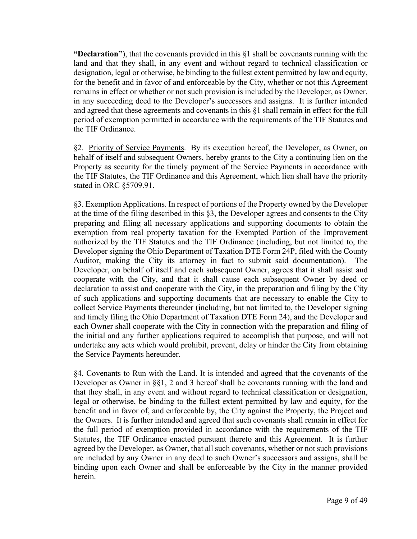**"Declaration"**), that the covenants provided in this §1 shall be covenants running with the land and that they shall, in any event and without regard to technical classification or designation, legal or otherwise, be binding to the fullest extent permitted by law and equity, for the benefit and in favor of and enforceable by the City, whether or not this Agreement remains in effect or whether or not such provision is included by the Developer, as Owner, in any succeeding deed to the Developer**'**s successors and assigns. It is further intended and agreed that these agreements and covenants in this §1 shall remain in effect for the full period of exemption permitted in accordance with the requirements of the TIF Statutes and the TIF Ordinance.

 §2. Priority of Service Payments. By its execution hereof, the Developer, as Owner, on behalf of itself and subsequent Owners, hereby grants to the City a continuing lien on the Property as security for the timely payment of the Service Payments in accordance with the TIF Statutes, the TIF Ordinance and this Agreement, which lien shall have the priority stated in ORC §5709.91.

 §3. Exemption Applications. In respect of portions of the Property owned by the Developer at the time of the filing described in this §3, the Developer agrees and consents to the City preparing and filing all necessary applications and supporting documents to obtain the exemption from real property taxation for the Exempted Portion of the Improvement authorized by the TIF Statutes and the TIF Ordinance (including, but not limited to, the Developer signing the Ohio Department of Taxation DTE Form 24P, filed with the County Auditor, making the City its attorney in fact to submit said documentation). The Developer, on behalf of itself and each subsequent Owner, agrees that it shall assist and cooperate with the City, and that it shall cause each subsequent Owner by deed or declaration to assist and cooperate with the City, in the preparation and filing by the City of such applications and supporting documents that are necessary to enable the City to collect Service Payments thereunder (including, but not limited to, the Developer signing and timely filing the Ohio Department of Taxation DTE Form 24), and the Developer and each Owner shall cooperate with the City in connection with the preparation and filing of the initial and any further applications required to accomplish that purpose, and will not undertake any acts which would prohibit, prevent, delay or hinder the City from obtaining the Service Payments hereunder.

 §4. Covenants to Run with the Land. It is intended and agreed that the covenants of the Developer as Owner in §§1, 2 and 3 hereof shall be covenants running with the land and that they shall, in any event and without regard to technical classification or designation, legal or otherwise, be binding to the fullest extent permitted by law and equity, for the benefit and in favor of, and enforceable by, the City against the Property, the Project and the Owners. It is further intended and agreed that such covenants shall remain in effect for the full period of exemption provided in accordance with the requirements of the TIF Statutes, the TIF Ordinance enacted pursuant thereto and this Agreement. It is further agreed by the Developer, as Owner, that all such covenants, whether or not such provisions are included by any Owner in any deed to such Owner's successors and assigns, shall be binding upon each Owner and shall be enforceable by the City in the manner provided herein.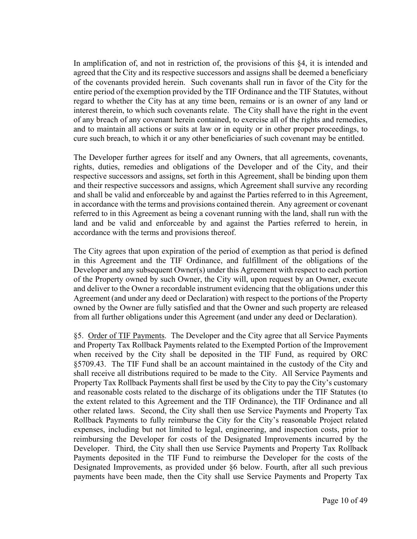In amplification of, and not in restriction of, the provisions of this  $\S 4$ , it is intended and agreed that the City and its respective successors and assigns shall be deemed a beneficiary of the covenants provided herein. Such covenants shall run in favor of the City for the entire period of the exemption provided by the TIF Ordinance and the TIF Statutes, without regard to whether the City has at any time been, remains or is an owner of any land or interest therein, to which such covenants relate. The City shall have the right in the event of any breach of any covenant herein contained, to exercise all of the rights and remedies, and to maintain all actions or suits at law or in equity or in other proper proceedings, to cure such breach, to which it or any other beneficiaries of such covenant may be entitled.

 The Developer further agrees for itself and any Owners, that all agreements, covenants, rights, duties, remedies and obligations of the Developer and of the City, and their respective successors and assigns, set forth in this Agreement, shall be binding upon them and their respective successors and assigns, which Agreement shall survive any recording and shall be valid and enforceable by and against the Parties referred to in this Agreement, in accordance with the terms and provisions contained therein. Any agreement or covenant referred to in this Agreement as being a covenant running with the land, shall run with the land and be valid and enforceable by and against the Parties referred to herein, in accordance with the terms and provisions thereof.

 The City agrees that upon expiration of the period of exemption as that period is defined in this Agreement and the TIF Ordinance, and fulfillment of the obligations of the Developer and any subsequent Owner(s) under this Agreement with respect to each portion of the Property owned by such Owner, the City will, upon request by an Owner, execute and deliver to the Owner a recordable instrument evidencing that the obligations under this Agreement (and under any deed or Declaration) with respect to the portions of the Property owned by the Owner are fully satisfied and that the Owner and such property are released from all further obligations under this Agreement (and under any deed or Declaration).

 §5. Order of TIF Payments. The Developer and the City agree that all Service Payments and Property Tax Rollback Payments related to the Exempted Portion of the Improvement when received by the City shall be deposited in the TIF Fund, as required by ORC §5709.43. The TIF Fund shall be an account maintained in the custody of the City and shall receive all distributions required to be made to the City. All Service Payments and Property Tax Rollback Payments shall first be used by the City to pay the City's customary and reasonable costs related to the discharge of its obligations under the TIF Statutes (to the extent related to this Agreement and the TIF Ordinance), the TIF Ordinance and all other related laws. Second, the City shall then use Service Payments and Property Tax Rollback Payments to fully reimburse the City for the City's reasonable Project related expenses, including but not limited to legal, engineering, and inspection costs, prior to reimbursing the Developer for costs of the Designated Improvements incurred by the Developer. Third, the City shall then use Service Payments and Property Tax Rollback Payments deposited in the TIF Fund to reimburse the Developer for the costs of the Designated Improvements, as provided under §6 below. Fourth, after all such previous payments have been made, then the City shall use Service Payments and Property Tax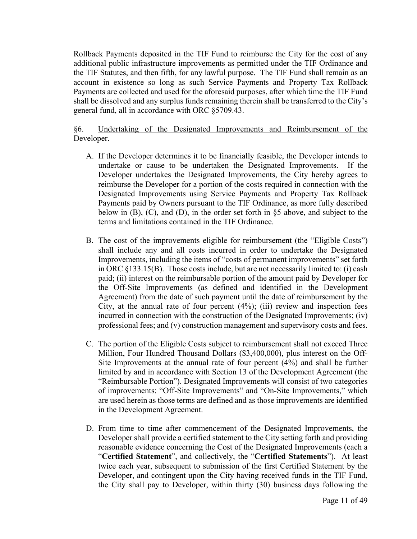Rollback Payments deposited in the TIF Fund to reimburse the City for the cost of any additional public infrastructure improvements as permitted under the TIF Ordinance and the TIF Statutes, and then fifth, for any lawful purpose. The TIF Fund shall remain as an account in existence so long as such Service Payments and Property Tax Rollback Payments are collected and used for the aforesaid purposes, after which time the TIF Fund shall be dissolved and any surplus funds remaining therein shall be transferred to the City's general fund, all in accordance with ORC §5709.43.

# §6. Undertaking of the Designated Improvements and Reimbursement of the Developer.

- A. If the Developer determines it to be financially feasible, the Developer intends to undertake or cause to be undertaken the Designated Improvements. If the Developer undertakes the Designated Improvements, the City hereby agrees to reimburse the Developer for a portion of the costs required in connection with the Designated Improvements using Service Payments and Property Tax Rollback Payments paid by Owners pursuant to the TIF Ordinance, as more fully described below in (B), (C), and (D), in the order set forth in §5 above, and subject to the terms and limitations contained in the TIF Ordinance.
- B. The cost of the improvements eligible for reimbursement (the "Eligible Costs") shall include any and all costs incurred in order to undertake the Designated Improvements, including the items of "costs of permanent improvements" set forth in ORC §133.15(B). Those costs include, but are not necessarily limited to: (i) cash paid; (ii) interest on the reimbursable portion of the amount paid by Developer for the Off-Site Improvements (as defined and identified in the Development Agreement) from the date of such payment until the date of reimbursement by the City, at the annual rate of four percent  $(4\%)$ ;  $(iii)$  review and inspection fees incurred in connection with the construction of the Designated Improvements; (iv) professional fees; and (v) construction management and supervisory costs and fees.
- C. The portion of the Eligible Costs subject to reimbursement shall not exceed Three Million, Four Hundred Thousand Dollars (\$3,400,000), plus interest on the Off-Site Improvements at the annual rate of four percent (4%) and shall be further limited by and in accordance with Section 13 of the Development Agreement (the "Reimbursable Portion"). Designated Improvements will consist of two categories of improvements: "Off-Site Improvements" and "On-Site Improvements," which are used herein as those terms are defined and as those improvements are identified in the Development Agreement.
- D. From time to time after commencement of the Designated Improvements, the Developer shall provide a certified statement to the City setting forth and providing reasonable evidence concerning the Cost of the Designated Improvements (each a "**Certified Statement**", and collectively, the "**Certified Statements**"). At least twice each year, subsequent to submission of the first Certified Statement by the Developer, and contingent upon the City having received funds in the TIF Fund, the City shall pay to Developer, within thirty (30) business days following the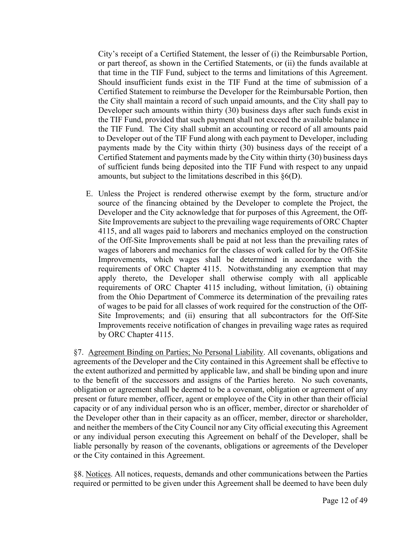City's receipt of a Certified Statement, the lesser of (i) the Reimbursable Portion, or part thereof, as shown in the Certified Statements, or (ii) the funds available at that time in the TIF Fund, subject to the terms and limitations of this Agreement. Should insufficient funds exist in the TIF Fund at the time of submission of a Certified Statement to reimburse the Developer for the Reimbursable Portion, then the City shall maintain a record of such unpaid amounts, and the City shall pay to Developer such amounts within thirty (30) business days after such funds exist in the TIF Fund, provided that such payment shall not exceed the available balance in the TIF Fund. The City shall submit an accounting or record of all amounts paid to Developer out of the TIF Fund along with each payment to Developer, including payments made by the City within thirty (30) business days of the receipt of a Certified Statement and payments made by the City within thirty (30) business days of sufficient funds being deposited into the TIF Fund with respect to any unpaid amounts, but subject to the limitations described in this §6(D).

E. Unless the Project is rendered otherwise exempt by the form, structure and/or source of the financing obtained by the Developer to complete the Project, the Developer and the City acknowledge that for purposes of this Agreement, the Off-Site Improvements are subject to the prevailing wage requirements of ORC Chapter 4115, and all wages paid to laborers and mechanics employed on the construction of the Off-Site Improvements shall be paid at not less than the prevailing rates of wages of laborers and mechanics for the classes of work called for by the Off-Site Improvements, which wages shall be determined in accordance with the requirements of ORC Chapter 4115. Notwithstanding any exemption that may apply thereto, the Developer shall otherwise comply with all applicable requirements of ORC Chapter 4115 including, without limitation, (i) obtaining from the Ohio Department of Commerce its determination of the prevailing rates of wages to be paid for all classes of work required for the construction of the Off-Site Improvements; and (ii) ensuring that all subcontractors for the Off-Site Improvements receive notification of changes in prevailing wage rates as required by ORC Chapter 4115.

 §7. Agreement Binding on Parties; No Personal Liability. All covenants, obligations and agreements of the Developer and the City contained in this Agreement shall be effective to the extent authorized and permitted by applicable law, and shall be binding upon and inure to the benefit of the successors and assigns of the Parties hereto. No such covenants, obligation or agreement shall be deemed to be a covenant, obligation or agreement of any present or future member, officer, agent or employee of the City in other than their official capacity or of any individual person who is an officer, member, director or shareholder of the Developer other than in their capacity as an officer, member, director or shareholder, and neither the members of the City Council nor any City official executing this Agreement or any individual person executing this Agreement on behalf of the Developer, shall be liable personally by reason of the covenants, obligations or agreements of the Developer or the City contained in this Agreement.

 §8. Notices. All notices, requests, demands and other communications between the Parties required or permitted to be given under this Agreement shall be deemed to have been duly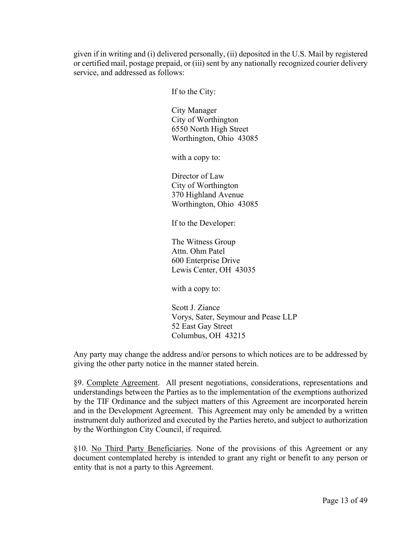given if in writing and (i) delivered personally, (ii) deposited in the U.S. Mail by registered or certified mail, postage prepaid, or (iii) sent by any nationally recognized courier delivery service, and addressed as follows:

If to the City:

City Manager City of Worthington 6550 North High Street Worthington, Ohio 43085

with a copy to:

Director of Law City of Worthington 370 Highland Avenue Worthington, Ohio 43085

If to the Developer:

The Witness Group Attn. Ohm Patel 600 Enterprise Drive Lewis Center, OH 43035

with a copy to:

Scott J. Ziance Vorys, Sater, Seymour and Pease LLP 52 East Gay Street Columbus, OH 43215

 Any party may change the address and/or persons to which notices are to be addressed by giving the other party notice in the manner stated herein.

 §9. Complete Agreement. All present negotiations, considerations, representations and understandings between the Parties as to the implementation of the exemptions authorized by the TIF Ordinance and the subject matters of this Agreement are incorporated herein and in the Development Agreement. This Agreement may only be amended by a written instrument duly authorized and executed by the Parties hereto, and subject to authorization by the Worthington City Council, if required.

 §10. No Third Party Beneficiaries. None of the provisions of this Agreement or any document contemplated hereby is intended to grant any right or benefit to any person or entity that is not a party to this Agreement.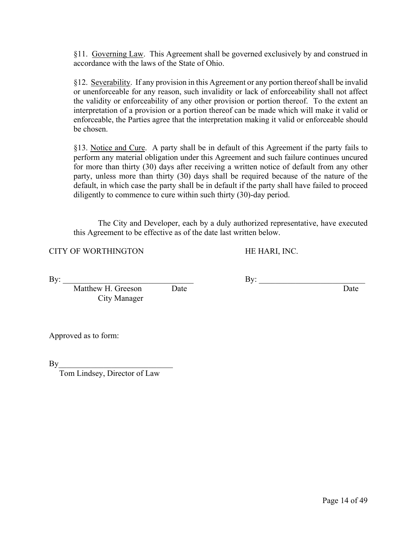§11. Governing Law. This Agreement shall be governed exclusively by and construed in accordance with the laws of the State of Ohio.

 §12. Severability. If any provision in this Agreement or any portion thereof shall be invalid or unenforceable for any reason, such invalidity or lack of enforceability shall not affect the validity or enforceability of any other provision or portion thereof. To the extent an interpretation of a provision or a portion thereof can be made which will make it valid or enforceable, the Parties agree that the interpretation making it valid or enforceable should be chosen.

 §13. Notice and Cure. A party shall be in default of this Agreement if the party fails to perform any material obligation under this Agreement and such failure continues uncured for more than thirty (30) days after receiving a written notice of default from any other party, unless more than thirty (30) days shall be required because of the nature of the default, in which case the party shall be in default if the party shall have failed to proceed diligently to commence to cure within such thirty (30)-day period.

The City and Developer, each by a duly authorized representative, have executed this Agreement to be effective as of the date last written below.

CITY OF WORTHINGTON HE HARI, INC.

By: \_\_\_\_\_\_\_\_\_\_\_\_\_\_\_\_\_\_\_\_\_\_\_\_\_\_\_\_\_\_\_\_ By: \_\_\_\_\_\_\_\_\_\_\_\_\_\_\_\_\_\_\_\_\_\_\_\_\_\_ Matthew H. Greeson Date Date Date City Manager

Approved as to form:

 $\mathbf{By}$ 

Tom Lindsey, Director of Law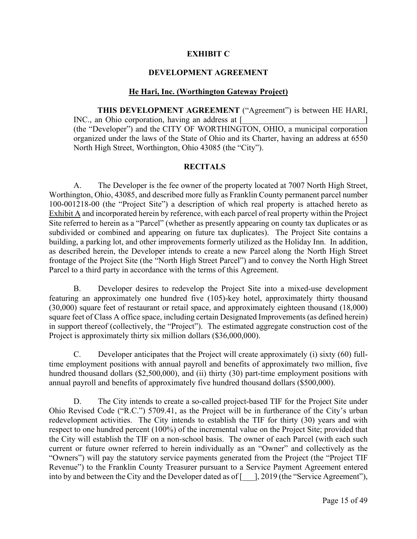### **EXHIBIT C**

## **DEVELOPMENT AGREEMENT**

## **He Hari, Inc. (Worthington Gateway Project)**

**THIS DEVELOPMENT AGREEMENT** ("Agreement") is between HE HARI, INC., an Ohio corporation, having an address at [ (the "Developer") and the CITY OF WORTHINGTON, OHIO, a municipal corporation organized under the laws of the State of Ohio and its Charter, having an address at 6550 North High Street, Worthington, Ohio 43085 (the "City").

### **RECITALS**

A. The Developer is the fee owner of the property located at 7007 North High Street, Worthington, Ohio, 43085, and described more fully as Franklin County permanent parcel number 100-001218-00 (the "Project Site") a description of which real property is attached hereto as Exhibit A and incorporated herein by reference, with each parcel of real property within the Project Site referred to herein as a "Parcel" (whether as presently appearing on county tax duplicates or as subdivided or combined and appearing on future tax duplicates). The Project Site contains a building, a parking lot, and other improvements formerly utilized as the Holiday Inn. In addition, as described herein, the Developer intends to create a new Parcel along the North High Street frontage of the Project Site (the "North High Street Parcel") and to convey the North High Street Parcel to a third party in accordance with the terms of this Agreement.

B. Developer desires to redevelop the Project Site into a mixed-use development featuring an approximately one hundred five (105)-key hotel, approximately thirty thousand (30,000) square feet of restaurant or retail space, and approximately eighteen thousand (18,000) square feet of Class A office space, including certain Designated Improvements (as defined herein) in support thereof (collectively, the "Project"). The estimated aggregate construction cost of the Project is approximately thirty six million dollars (\$36,000,000).

C. Developer anticipates that the Project will create approximately (i) sixty (60) fulltime employment positions with annual payroll and benefits of approximately two million, five hundred thousand dollars (\$2,500,000), and (ii) thirty (30) part-time employment positions with annual payroll and benefits of approximately five hundred thousand dollars (\$500,000).

D. The City intends to create a so-called project-based TIF for the Project Site under Ohio Revised Code ("R.C.") 5709.41, as the Project will be in furtherance of the City's urban redevelopment activities. The City intends to establish the TIF for thirty (30) years and with respect to one hundred percent (100%) of the incremental value on the Project Site; provided that the City will establish the TIF on a non-school basis. The owner of each Parcel (with each such current or future owner referred to herein individually as an "Owner" and collectively as the "Owners") will pay the statutory service payments generated from the Project (the "Project TIF Revenue") to the Franklin County Treasurer pursuant to a Service Payment Agreement entered into by and between the City and the Developer dated as of [ $\Box$ ], 2019 (the "Service Agreement"),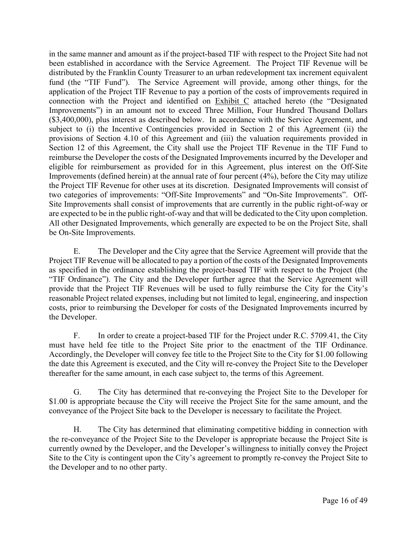in the same manner and amount as if the project-based TIF with respect to the Project Site had not been established in accordance with the Service Agreement. The Project TIF Revenue will be distributed by the Franklin County Treasurer to an urban redevelopment tax increment equivalent fund (the "TIF Fund"). The Service Agreement will provide, among other things, for the application of the Project TIF Revenue to pay a portion of the costs of improvements required in connection with the Project and identified on Exhibit C attached hereto (the "Designated Improvements") in an amount not to exceed Three Million, Four Hundred Thousand Dollars (\$3,400,000), plus interest as described below. In accordance with the Service Agreement, and subject to (i) the Incentive Contingencies provided in Section 2 of this Agreement (ii) the provisions of Section 4.10 of this Agreement and (iii) the valuation requirements provided in Section 12 of this Agreement, the City shall use the Project TIF Revenue in the TIF Fund to reimburse the Developer the costs of the Designated Improvements incurred by the Developer and eligible for reimbursement as provided for in this Agreement, plus interest on the Off-Site Improvements (defined herein) at the annual rate of four percent (4%), before the City may utilize the Project TIF Revenue for other uses at its discretion. Designated Improvements will consist of two categories of improvements: "Off-Site Improvements" and "On-Site Improvements". Off-Site Improvements shall consist of improvements that are currently in the public right-of-way or are expected to be in the public right-of-way and that will be dedicated to the City upon completion. All other Designated Improvements, which generally are expected to be on the Project Site, shall be On-Site Improvements.

E. The Developer and the City agree that the Service Agreement will provide that the Project TIF Revenue will be allocated to pay a portion of the costs of the Designated Improvements as specified in the ordinance establishing the project-based TIF with respect to the Project (the "TIF Ordinance"). The City and the Developer further agree that the Service Agreement will provide that the Project TIF Revenues will be used to fully reimburse the City for the City's reasonable Project related expenses, including but not limited to legal, engineering, and inspection costs, prior to reimbursing the Developer for costs of the Designated Improvements incurred by the Developer.

F. In order to create a project-based TIF for the Project under R.C. 5709.41, the City must have held fee title to the Project Site prior to the enactment of the TIF Ordinance. Accordingly, the Developer will convey fee title to the Project Site to the City for \$1.00 following the date this Agreement is executed, and the City will re-convey the Project Site to the Developer thereafter for the same amount, in each case subject to, the terms of this Agreement.

G. The City has determined that re-conveying the Project Site to the Developer for \$1.00 is appropriate because the City will receive the Project Site for the same amount, and the conveyance of the Project Site back to the Developer is necessary to facilitate the Project.

H. The City has determined that eliminating competitive bidding in connection with the re-conveyance of the Project Site to the Developer is appropriate because the Project Site is currently owned by the Developer, and the Developer's willingness to initially convey the Project Site to the City is contingent upon the City's agreement to promptly re-convey the Project Site to the Developer and to no other party.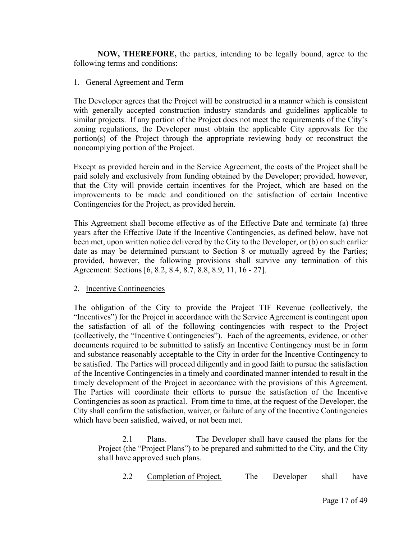**NOW, THEREFORE,** the parties, intending to be legally bound, agree to the following terms and conditions:

## 1. General Agreement and Term

 The Developer agrees that the Project will be constructed in a manner which is consistent with generally accepted construction industry standards and guidelines applicable to similar projects. If any portion of the Project does not meet the requirements of the City's zoning regulations, the Developer must obtain the applicable City approvals for the portion(s) of the Project through the appropriate reviewing body or reconstruct the noncomplying portion of the Project.

 Except as provided herein and in the Service Agreement, the costs of the Project shall be paid solely and exclusively from funding obtained by the Developer; provided, however, that the City will provide certain incentives for the Project, which are based on the improvements to be made and conditioned on the satisfaction of certain Incentive Contingencies for the Project, as provided herein.

 This Agreement shall become effective as of the Effective Date and terminate (a) three years after the Effective Date if the Incentive Contingencies, as defined below, have not been met, upon written notice delivered by the City to the Developer, or (b) on such earlier date as may be determined pursuant to Section 8 or mutually agreed by the Parties; provided, however, the following provisions shall survive any termination of this Agreement: Sections [6, 8.2, 8.4, 8.7, 8.8, 8.9, 11, 16 - 27].

### 2. Incentive Contingencies

 The obligation of the City to provide the Project TIF Revenue (collectively, the "Incentives") for the Project in accordance with the Service Agreement is contingent upon the satisfaction of all of the following contingencies with respect to the Project (collectively, the "Incentive Contingencies"). Each of the agreements, evidence, or other documents required to be submitted to satisfy an Incentive Contingency must be in form and substance reasonably acceptable to the City in order for the Incentive Contingency to be satisfied. The Parties will proceed diligently and in good faith to pursue the satisfaction of the Incentive Contingencies in a timely and coordinated manner intended to result in the timely development of the Project in accordance with the provisions of this Agreement. The Parties will coordinate their efforts to pursue the satisfaction of the Incentive Contingencies as soon as practical. From time to time, at the request of the Developer, the City shall confirm the satisfaction, waiver, or failure of any of the Incentive Contingencies which have been satisfied, waived, or not been met.

2.1 Plans. The Developer shall have caused the plans for the Project (the "Project Plans") to be prepared and submitted to the City, and the City shall have approved such plans.

2.2 Completion of Project. The Developer shall have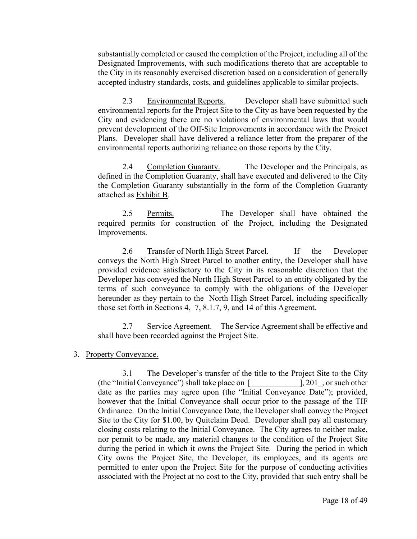substantially completed or caused the completion of the Project, including all of the Designated Improvements, with such modifications thereto that are acceptable to the City in its reasonably exercised discretion based on a consideration of generally accepted industry standards, costs, and guidelines applicable to similar projects.

2.3 Environmental Reports. Developer shall have submitted such environmental reports for the Project Site to the City as have been requested by the City and evidencing there are no violations of environmental laws that would prevent development of the Off-Site Improvements in accordance with the Project Plans. Developer shall have delivered a reliance letter from the preparer of the environmental reports authorizing reliance on those reports by the City.

2.4 Completion Guaranty. The Developer and the Principals, as defined in the Completion Guaranty, shall have executed and delivered to the City the Completion Guaranty substantially in the form of the Completion Guaranty attached as Exhibit B.

2.5 Permits. The Developer shall have obtained the required permits for construction of the Project, including the Designated Improvements.

2.6 Transfer of North High Street Parcel. If the Developer conveys the North High Street Parcel to another entity, the Developer shall have provided evidence satisfactory to the City in its reasonable discretion that the Developer has conveyed the North High Street Parcel to an entity obligated by the terms of such conveyance to comply with the obligations of the Developer hereunder as they pertain to the North High Street Parcel, including specifically those set forth in Sections 4, 7, 8.1.7, 9, and 14 of this Agreement.

2.7 Service Agreement. The Service Agreement shall be effective and shall have been recorded against the Project Site.

## 3. Property Conveyance.

3.1 The Developer's transfer of the title to the Project Site to the City (the "Initial Conveyance") shall take place on  $\lceil$  [201], or such other date as the parties may agree upon (the "Initial Conveyance Date"); provided, however that the Initial Conveyance shall occur prior to the passage of the TIF Ordinance. On the Initial Conveyance Date, the Developer shall convey the Project Site to the City for \$1.00, by Quitclaim Deed. Developer shall pay all customary closing costs relating to the Initial Conveyance. The City agrees to neither make, nor permit to be made, any material changes to the condition of the Project Site during the period in which it owns the Project Site. During the period in which City owns the Project Site, the Developer, its employees, and its agents are permitted to enter upon the Project Site for the purpose of conducting activities associated with the Project at no cost to the City, provided that such entry shall be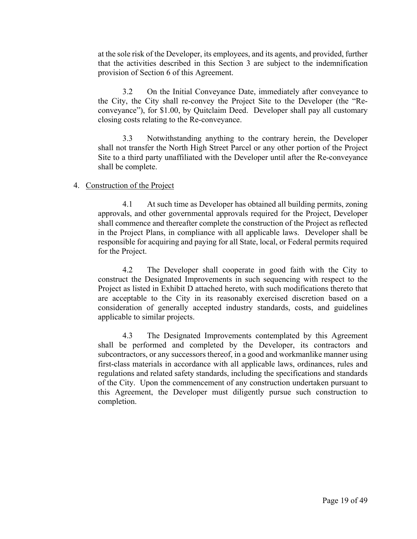at the sole risk of the Developer, its employees, and its agents, and provided, further that the activities described in this Section 3 are subject to the indemnification provision of Section 6 of this Agreement.

3.2 On the Initial Conveyance Date, immediately after conveyance to the City, the City shall re-convey the Project Site to the Developer (the "Reconveyance"), for \$1.00, by Quitclaim Deed. Developer shall pay all customary closing costs relating to the Re-conveyance.

3.3 Notwithstanding anything to the contrary herein, the Developer shall not transfer the North High Street Parcel or any other portion of the Project Site to a third party unaffiliated with the Developer until after the Re-conveyance shall be complete.

### 4. Construction of the Project

4.1 At such time as Developer has obtained all building permits, zoning approvals, and other governmental approvals required for the Project, Developer shall commence and thereafter complete the construction of the Project as reflected in the Project Plans, in compliance with all applicable laws. Developer shall be responsible for acquiring and paying for all State, local, or Federal permits required for the Project.

4.2 The Developer shall cooperate in good faith with the City to construct the Designated Improvements in such sequencing with respect to the Project as listed in Exhibit D attached hereto, with such modifications thereto that are acceptable to the City in its reasonably exercised discretion based on a consideration of generally accepted industry standards, costs, and guidelines applicable to similar projects.

4.3 The Designated Improvements contemplated by this Agreement shall be performed and completed by the Developer, its contractors and subcontractors, or any successors thereof, in a good and workmanlike manner using first-class materials in accordance with all applicable laws, ordinances, rules and regulations and related safety standards, including the specifications and standards of the City. Upon the commencement of any construction undertaken pursuant to this Agreement, the Developer must diligently pursue such construction to completion.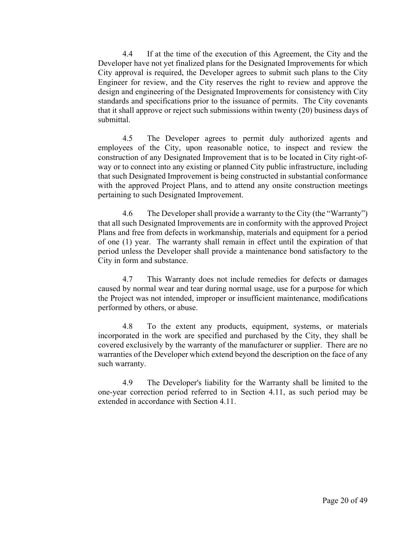4.4 If at the time of the execution of this Agreement, the City and the Developer have not yet finalized plans for the Designated Improvements for which City approval is required, the Developer agrees to submit such plans to the City Engineer for review, and the City reserves the right to review and approve the design and engineering of the Designated Improvements for consistency with City standards and specifications prior to the issuance of permits. The City covenants that it shall approve or reject such submissions within twenty (20) business days of submittal.

4.5 The Developer agrees to permit duly authorized agents and employees of the City, upon reasonable notice, to inspect and review the construction of any Designated Improvement that is to be located in City right-ofway or to connect into any existing or planned City public infrastructure, including that such Designated Improvement is being constructed in substantial conformance with the approved Project Plans, and to attend any onsite construction meetings pertaining to such Designated Improvement.

4.6 The Developer shall provide a warranty to the City (the "Warranty") that all such Designated Improvements are in conformity with the approved Project Plans and free from defects in workmanship, materials and equipment for a period of one (1) year. The warranty shall remain in effect until the expiration of that period unless the Developer shall provide a maintenance bond satisfactory to the City in form and substance.

4.7 This Warranty does not include remedies for defects or damages caused by normal wear and tear during normal usage, use for a purpose for which the Project was not intended, improper or insufficient maintenance, modifications performed by others, or abuse.

4.8 To the extent any products, equipment, systems, or materials incorporated in the work are specified and purchased by the City, they shall be covered exclusively by the warranty of the manufacturer or supplier. There are no warranties of the Developer which extend beyond the description on the face of any such warranty.

4.9 The Developer's liability for the Warranty shall be limited to the one-year correction period referred to in Section 4.11, as such period may be extended in accordance with Section 4.11.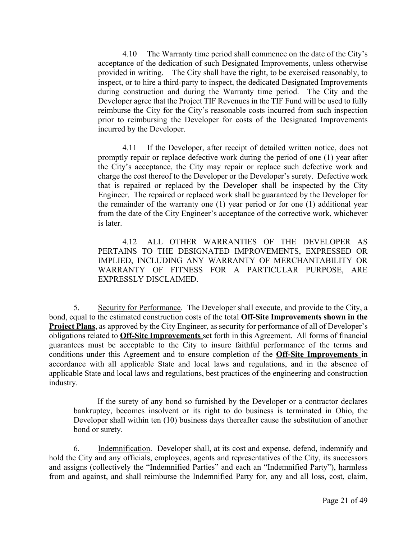4.10 The Warranty time period shall commence on the date of the City's acceptance of the dedication of such Designated Improvements, unless otherwise provided in writing. The City shall have the right, to be exercised reasonably, to inspect, or to hire a third-party to inspect, the dedicated Designated Improvements during construction and during the Warranty time period. The City and the Developer agree that the Project TIF Revenues in the TIF Fund will be used to fully reimburse the City for the City's reasonable costs incurred from such inspection prior to reimbursing the Developer for costs of the Designated Improvements incurred by the Developer.

4.11 If the Developer, after receipt of detailed written notice, does not promptly repair or replace defective work during the period of one (1) year after the City's acceptance, the City may repair or replace such defective work and charge the cost thereof to the Developer or the Developer's surety. Defective work that is repaired or replaced by the Developer shall be inspected by the City Engineer. The repaired or replaced work shall be guaranteed by the Developer for the remainder of the warranty one (1) year period or for one (1) additional year from the date of the City Engineer's acceptance of the corrective work, whichever is later.

4.12 ALL OTHER WARRANTIES OF THE DEVELOPER AS PERTAINS TO THE DESIGNATED IMPROVEMENTS, EXPRESSED OR IMPLIED, INCLUDING ANY WARRANTY OF MERCHANTABILITY OR WARRANTY OF FITNESS FOR A PARTICULAR PURPOSE, ARE EXPRESSLY DISCLAIMED.

5. Security for Performance. The Developer shall execute, and provide to the City, a bond, equal to the estimated construction costs of the total **Off-Site Improvements shown in the Project Plans**, as approved by the City Engineer, as security for performance of all of Developer's obligations related to **Off-Site Improvements** set forth in this Agreement. All forms of financial guarantees must be acceptable to the City to insure faithful performance of the terms and conditions under this Agreement and to ensure completion of the **Off-Site Improvements** in accordance with all applicable State and local laws and regulations, and in the absence of applicable State and local laws and regulations, best practices of the engineering and construction industry.

If the surety of any bond so furnished by the Developer or a contractor declares bankruptcy, becomes insolvent or its right to do business is terminated in Ohio, the Developer shall within ten (10) business days thereafter cause the substitution of another bond or surety.

6. Indemnification. Developer shall, at its cost and expense, defend, indemnify and hold the City and any officials, employees, agents and representatives of the City, its successors and assigns (collectively the "Indemnified Parties" and each an "Indemnified Party"), harmless from and against, and shall reimburse the Indemnified Party for, any and all loss, cost, claim,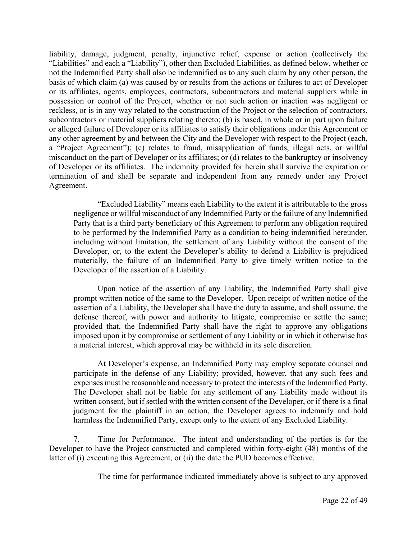liability, damage, judgment, penalty, injunctive relief, expense or action (collectively the "Liabilities" and each a "Liability"), other than Excluded Liabilities, as defined below, whether or not the Indemnified Party shall also be indemnified as to any such claim by any other person, the basis of which claim (a) was caused by or results from the actions or failures to act of Developer or its affiliates, agents, employees, contractors, subcontractors and material suppliers while in possession or control of the Project, whether or not such action or inaction was negligent or reckless, or is in any way related to the construction of the Project or the selection of contractors, subcontractors or material suppliers relating thereto; (b) is based, in whole or in part upon failure or alleged failure of Developer or its affiliates to satisfy their obligations under this Agreement or any other agreement by and between the City and the Developer with respect to the Project (each, a "Project Agreement"); (c) relates to fraud, misapplication of funds, illegal acts, or willful misconduct on the part of Developer or its affiliates; or (d) relates to the bankruptcy or insolvency of Developer or its affiliates. The indemnity provided for herein shall survive the expiration or termination of and shall be separate and independent from any remedy under any Project Agreement.

"Excluded Liability" means each Liability to the extent it is attributable to the gross negligence or willful misconduct of any Indemnified Party or the failure of any Indemnified Party that is a third party beneficiary of this Agreement to perform any obligation required to be performed by the Indemnified Party as a condition to being indemnified hereunder, including without limitation, the settlement of any Liability without the consent of the Developer, or, to the extent the Developer's ability to defend a Liability is prejudiced materially, the failure of an Indemnified Party to give timely written notice to the Developer of the assertion of a Liability.

Upon notice of the assertion of any Liability, the Indemnified Party shall give prompt written notice of the same to the Developer. Upon receipt of written notice of the assertion of a Liability, the Developer shall have the duty to assume, and shall assume, the defense thereof, with power and authority to litigate, compromise or settle the same; provided that, the Indemnified Party shall have the right to approve any obligations imposed upon it by compromise or settlement of any Liability or in which it otherwise has a material interest, which approval may be withheld in its sole discretion.

At Developer's expense, an Indemnified Party may employ separate counsel and participate in the defense of any Liability; provided, however, that any such fees and expenses must be reasonable and necessary to protect the interests of the Indemnified Party. The Developer shall not be liable for any settlement of any Liability made without its written consent, but if settled with the written consent of the Developer, or if there is a final judgment for the plaintiff in an action, the Developer agrees to indemnify and hold harmless the Indemnified Party, except only to the extent of any Excluded Liability.

7. Time for Performance. The intent and understanding of the parties is for the Developer to have the Project constructed and completed within forty-eight (48) months of the latter of (i) executing this Agreement, or (ii) the date the PUD becomes effective.

The time for performance indicated immediately above is subject to any approved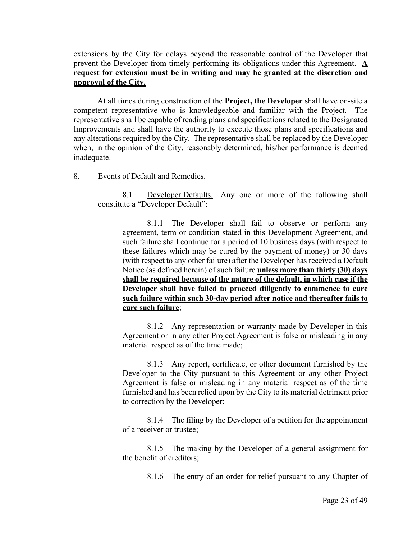extensions by the City for delays beyond the reasonable control of the Developer that prevent the Developer from timely performing its obligations under this Agreement. **A request for extension must be in writing and may be granted at the discretion and approval of the City.** 

At all times during construction of the **Project, the Developer** shall have on-site a competent representative who is knowledgeable and familiar with the Project. The representative shall be capable of reading plans and specifications related to the Designated Improvements and shall have the authority to execute those plans and specifications and any alterations required by the City. The representative shall be replaced by the Developer when, in the opinion of the City, reasonably determined, his/her performance is deemed inadequate.

8. Events of Default and Remedies.

8.1 Developer Defaults. Any one or more of the following shall constitute a "Developer Default":

8.1.1 The Developer shall fail to observe or perform any agreement, term or condition stated in this Development Agreement, and such failure shall continue for a period of 10 business days (with respect to these failures which may be cured by the payment of money) or 30 days (with respect to any other failure) after the Developer has received a Default Notice (as defined herein) of such failure **unless more than thirty (30) days shall be required because of the nature of the default, in which case if the Developer shall have failed to proceed diligently to commence to cure such failure within such 30-day period after notice and thereafter fails to cure such failure**;

8.1.2 Any representation or warranty made by Developer in this Agreement or in any other Project Agreement is false or misleading in any material respect as of the time made;

8.1.3 Any report, certificate, or other document furnished by the Developer to the City pursuant to this Agreement or any other Project Agreement is false or misleading in any material respect as of the time furnished and has been relied upon by the City to its material detriment prior to correction by the Developer;

8.1.4 The filing by the Developer of a petition for the appointment of a receiver or trustee;

8.1.5 The making by the Developer of a general assignment for the benefit of creditors;

8.1.6 The entry of an order for relief pursuant to any Chapter of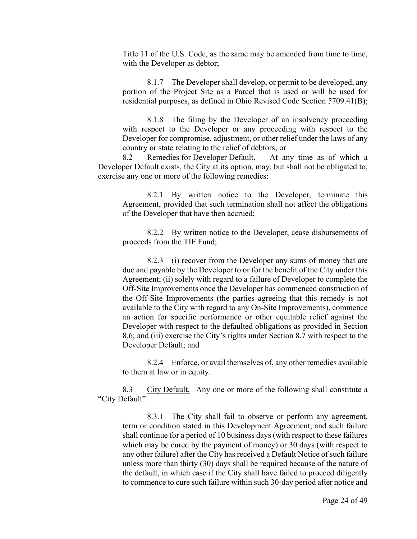Title 11 of the U.S. Code, as the same may be amended from time to time, with the Developer as debtor;

8.1.7 The Developer shall develop, or permit to be developed, any portion of the Project Site as a Parcel that is used or will be used for residential purposes, as defined in Ohio Revised Code Section 5709.41(B);

8.1.8 The filing by the Developer of an insolvency proceeding with respect to the Developer or any proceeding with respect to the Developer for compromise, adjustment, or other relief under the laws of any country or state relating to the relief of debtors; or

8.2 Remedies for Developer Default. At any time as of which a Developer Default exists, the City at its option, may, but shall not be obligated to, exercise any one or more of the following remedies:

8.2.1 By written notice to the Developer, terminate this Agreement, provided that such termination shall not affect the obligations of the Developer that have then accrued;

8.2.2 By written notice to the Developer, cease disbursements of proceeds from the TIF Fund;

8.2.3 (i) recover from the Developer any sums of money that are due and payable by the Developer to or for the benefit of the City under this Agreement; (ii) solely with regard to a failure of Developer to complete the Off-Site Improvements once the Developer has commenced construction of the Off-Site Improvements (the parties agreeing that this remedy is not available to the City with regard to any On-Site Improvements), commence an action for specific performance or other equitable relief against the Developer with respect to the defaulted obligations as provided in Section 8.6; and (iii) exercise the City's rights under Section 8.7 with respect to the Developer Default; and

8.2.4 Enforce, or avail themselves of, any other remedies available to them at law or in equity.

8.3 City Default. Any one or more of the following shall constitute a "City Default":

8.3.1 The City shall fail to observe or perform any agreement, term or condition stated in this Development Agreement, and such failure shall continue for a period of 10 business days (with respect to these failures which may be cured by the payment of money) or 30 days (with respect to any other failure) after the City has received a Default Notice of such failure unless more than thirty (30) days shall be required because of the nature of the default, in which case if the City shall have failed to proceed diligently to commence to cure such failure within such 30-day period after notice and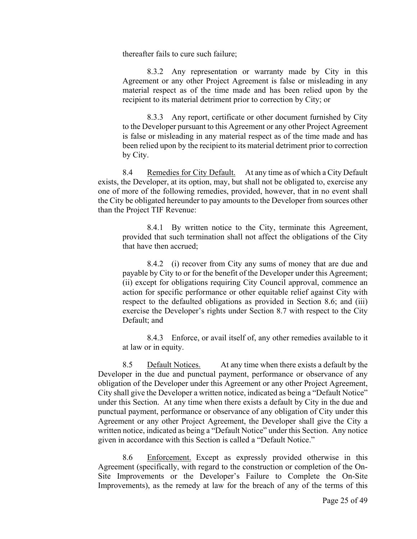thereafter fails to cure such failure;

8.3.2 Any representation or warranty made by City in this Agreement or any other Project Agreement is false or misleading in any material respect as of the time made and has been relied upon by the recipient to its material detriment prior to correction by City; or

8.3.3 Any report, certificate or other document furnished by City to the Developer pursuant to this Agreement or any other Project Agreement is false or misleading in any material respect as of the time made and has been relied upon by the recipient to its material detriment prior to correction by City.

8.4 Remedies for City Default. At any time as of which a City Default exists, the Developer, at its option, may, but shall not be obligated to, exercise any one of more of the following remedies, provided, however, that in no event shall the City be obligated hereunder to pay amounts to the Developer from sources other than the Project TIF Revenue:

8.4.1 By written notice to the City, terminate this Agreement, provided that such termination shall not affect the obligations of the City that have then accrued;

8.4.2 (i) recover from City any sums of money that are due and payable by City to or for the benefit of the Developer under this Agreement; (ii) except for obligations requiring City Council approval, commence an action for specific performance or other equitable relief against City with respect to the defaulted obligations as provided in Section 8.6; and (iii) exercise the Developer's rights under Section 8.7 with respect to the City Default; and

8.4.3 Enforce, or avail itself of, any other remedies available to it at law or in equity.

8.5 Default Notices. At any time when there exists a default by the Developer in the due and punctual payment, performance or observance of any obligation of the Developer under this Agreement or any other Project Agreement, City shall give the Developer a written notice, indicated as being a "Default Notice" under this Section. At any time when there exists a default by City in the due and punctual payment, performance or observance of any obligation of City under this Agreement or any other Project Agreement, the Developer shall give the City a written notice, indicated as being a "Default Notice" under this Section. Any notice given in accordance with this Section is called a "Default Notice."

8.6 Enforcement. Except as expressly provided otherwise in this Agreement (specifically, with regard to the construction or completion of the On-Site Improvements or the Developer's Failure to Complete the On-Site Improvements), as the remedy at law for the breach of any of the terms of this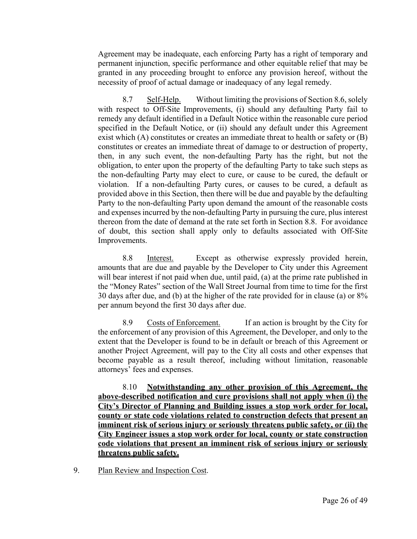Agreement may be inadequate, each enforcing Party has a right of temporary and permanent injunction, specific performance and other equitable relief that may be granted in any proceeding brought to enforce any provision hereof, without the necessity of proof of actual damage or inadequacy of any legal remedy.

8.7 Self-Help. Without limiting the provisions of Section 8.6, solely with respect to Off-Site Improvements, (i) should any defaulting Party fail to remedy any default identified in a Default Notice within the reasonable cure period specified in the Default Notice, or (ii) should any default under this Agreement exist which (A) constitutes or creates an immediate threat to health or safety or (B) constitutes or creates an immediate threat of damage to or destruction of property, then, in any such event, the non-defaulting Party has the right, but not the obligation, to enter upon the property of the defaulting Party to take such steps as the non-defaulting Party may elect to cure, or cause to be cured, the default or violation. If a non-defaulting Party cures, or causes to be cured, a default as provided above in this Section, then there will be due and payable by the defaulting Party to the non-defaulting Party upon demand the amount of the reasonable costs and expenses incurred by the non-defaulting Party in pursuing the cure, plus interest thereon from the date of demand at the rate set forth in Section 8.8. For avoidance of doubt, this section shall apply only to defaults associated with Off-Site Improvements.

8.8 Interest. Except as otherwise expressly provided herein, amounts that are due and payable by the Developer to City under this Agreement will bear interest if not paid when due, until paid, (a) at the prime rate published in the "Money Rates" section of the Wall Street Journal from time to time for the first 30 days after due, and (b) at the higher of the rate provided for in clause (a) or 8% per annum beyond the first 30 days after due.

8.9 Costs of Enforcement. If an action is brought by the City for the enforcement of any provision of this Agreement, the Developer, and only to the extent that the Developer is found to be in default or breach of this Agreement or another Project Agreement, will pay to the City all costs and other expenses that become payable as a result thereof, including without limitation, reasonable attorneys' fees and expenses.

8.10 **Notwithstanding any other provision of this Agreement, the above-described notification and cure provisions shall not apply when (i) the City's Director of Planning and Building issues a stop work order for local, county or state code violations related to construction defects that present an imminent risk of serious injury or seriously threatens public safety, or (ii) the City Engineer issues a stop work order for local, county or state construction code violations that present an imminent risk of serious injury or seriously threatens public safety.**

9. Plan Review and Inspection Cost.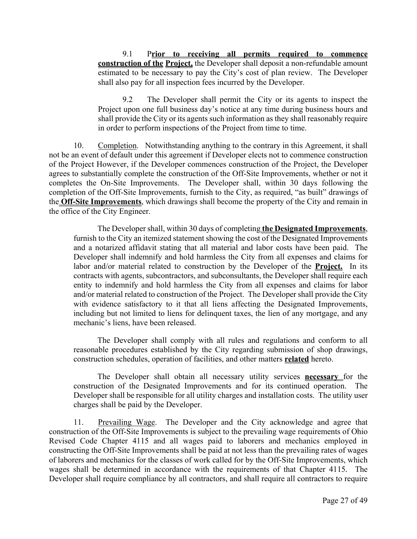9.1 P**rior to receiving all permits required to commence construction of the Project,** the Developer shall deposit a non-refundable amount estimated to be necessary to pay the City's cost of plan review. The Developer shall also pay for all inspection fees incurred by the Developer.

9.2 The Developer shall permit the City or its agents to inspect the Project upon one full business day's notice at any time during business hours and shall provide the City or its agents such information as they shall reasonably require in order to perform inspections of the Project from time to time.

10. Completion. Notwithstanding anything to the contrary in this Agreement, it shall not be an event of default under this agreement if Developer elects not to commence construction of the Project However, if the Developer commences construction of the Project, the Developer agrees to substantially complete the construction of the Off-Site Improvements, whether or not it completes the On-Site Improvements. The Developer shall, within 30 days following the completion of the Off-Site Improvements, furnish to the City, as required, "as built" drawings of the **Off-Site Improvements**, which drawings shall become the property of the City and remain in the office of the City Engineer.

The Developer shall, within 30 days of completing **the Designated Improvements**, furnish to the City an itemized statement showing the cost of the Designated Improvements and a notarized affidavit stating that all material and labor costs have been paid. The Developer shall indemnify and hold harmless the City from all expenses and claims for labor and/or material related to construction by the Developer of the **Project.** In its contracts with agents, subcontractors, and subconsultants, the Developer shall require each entity to indemnify and hold harmless the City from all expenses and claims for labor and/or material related to construction of the Project. The Developer shall provide the City with evidence satisfactory to it that all liens affecting the Designated Improvements, including but not limited to liens for delinquent taxes, the lien of any mortgage, and any mechanic's liens, have been released.

The Developer shall comply with all rules and regulations and conform to all reasonable procedures established by the City regarding submission of shop drawings, construction schedules, operation of facilities, and other matters **related** hereto.

The Developer shall obtain all necessary utility services **necessary** for the construction of the Designated Improvements and for its continued operation. The Developer shall be responsible for all utility charges and installation costs. The utility user charges shall be paid by the Developer.

11. Prevailing Wage.The Developer and the City acknowledge and agree that construction of the Off-Site Improvements is subject to the prevailing wage requirements of Ohio Revised Code Chapter 4115 and all wages paid to laborers and mechanics employed in constructing the Off-Site Improvements shall be paid at not less than the prevailing rates of wages of laborers and mechanics for the classes of work called for by the Off-Site Improvements, which wages shall be determined in accordance with the requirements of that Chapter 4115*.* The Developer shall require compliance by all contractors, and shall require all contractors to require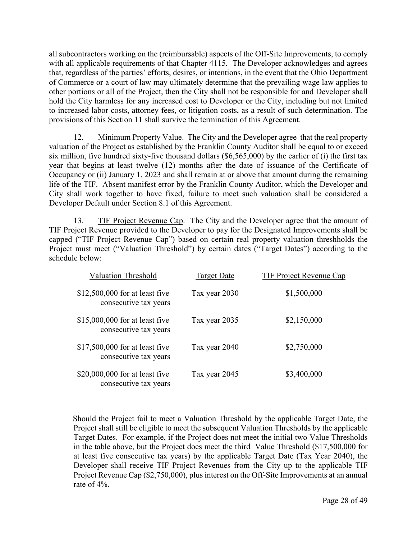all subcontractors working on the (reimbursable) aspects of the Off-Site Improvements, to comply with all applicable requirements of that Chapter 4115*.* The Developer acknowledges and agrees that, regardless of the parties' efforts, desires, or intentions, in the event that the Ohio Department of Commerce or a court of law may ultimately determine that the prevailing wage law applies to other portions or all of the Project, then the City shall not be responsible for and Developer shall hold the City harmless for any increased cost to Developer or the City, including but not limited to increased labor costs, attorney fees, or litigation costs, as a result of such determination. The provisions of this Section 11 shall survive the termination of this Agreement.

12. Minimum Property Value. The City and the Developer agree that the real property valuation of the Project as established by the Franklin County Auditor shall be equal to or exceed six million, five hundred sixty-five thousand dollars (\$6,565,000) by the earlier of (i) the first tax year that begins at least twelve (12) months after the date of issuance of the Certificate of Occupancy or (ii) January 1, 2023 and shall remain at or above that amount during the remaining life of the TIF. Absent manifest error by the Franklin County Auditor, which the Developer and City shall work together to have fixed, failure to meet such valuation shall be considered a Developer Default under Section 8.1 of this Agreement.

13. TIF Project Revenue Cap. The City and the Developer agree that the amount of TIF Project Revenue provided to the Developer to pay for the Designated Improvements shall be capped ("TIF Project Revenue Cap") based on certain real property valuation threshholds the Project must meet ("Valuation Threshold") by certain dates ("Target Dates") according to the schedule below:

| <b>Valuation Threshold</b>                               | <b>Target Date</b> | <b>TIF Project Revenue Cap</b> |
|----------------------------------------------------------|--------------------|--------------------------------|
| $$12,500,000$ for at least five<br>consecutive tax years | Tax year 2030      | \$1,500,000                    |
| $$15,000,000$ for at least five<br>consecutive tax years | Tax year 2035      | \$2,150,000                    |
| \$17,500,000 for at least five<br>consecutive tax years  | Tax year 2040      | \$2,750,000                    |
| $$20,000,000$ for at least five<br>consecutive tax years | Tax year 2045      | \$3,400,000                    |

 Should the Project fail to meet a Valuation Threshold by the applicable Target Date, the Project shall still be eligible to meet the subsequent Valuation Thresholds by the applicable Target Dates. For example, if the Project does not meet the initial two Value Thresholds in the table above, but the Project does meet the third Value Threshold (\$17,500,000 for at least five consecutive tax years) by the applicable Target Date (Tax Year 2040), the Developer shall receive TIF Project Revenues from the City up to the applicable TIF Project Revenue Cap (\$2,750,000), plus interest on the Off-Site Improvements at an annual rate of 4%.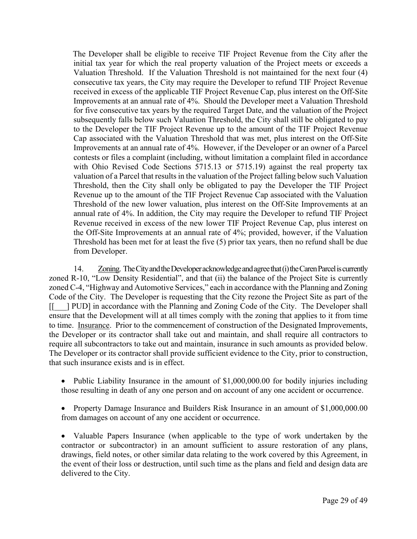The Developer shall be eligible to receive TIF Project Revenue from the City after the initial tax year for which the real property valuation of the Project meets or exceeds a Valuation Threshold. If the Valuation Threshold is not maintained for the next four (4) consecutive tax years, the City may require the Developer to refund TIF Project Revenue received in excess of the applicable TIF Project Revenue Cap, plus interest on the Off-Site Improvements at an annual rate of 4%. Should the Developer meet a Valuation Threshold for five consecutive tax years by the required Target Date, and the valuation of the Project subsequently falls below such Valuation Threshold, the City shall still be obligated to pay to the Developer the TIF Project Revenue up to the amount of the TIF Project Revenue Cap associated with the Valuation Threshold that was met, plus interest on the Off-Site Improvements at an annual rate of 4%. However, if the Developer or an owner of a Parcel contests or files a complaint (including, without limitation a complaint filed in accordance with Ohio Revised Code Sections 5715.13 or 5715.19) against the real property tax valuation of a Parcel that results in the valuation of the Project falling below such Valuation Threshold, then the City shall only be obligated to pay the Developer the TIF Project Revenue up to the amount of the TIF Project Revenue Cap associated with the Valuation Threshold of the new lower valuation, plus interest on the Off-Site Improvements at an annual rate of 4%. In addition, the City may require the Developer to refund TIF Project Revenue received in excess of the new lower TIF Project Revenue Cap, plus interest on the Off-Site Improvements at an annual rate of 4%; provided, however, if the Valuation Threshold has been met for at least the five (5) prior tax years, then no refund shall be due from Developer.

14. Zoning. The City and the Developer acknowledge and agree that (i) the Caren Parcel is currently zoned R-10, "Low Density Residential", and that (ii) the balance of the Project Site is currently zoned C-4, "Highway and Automotive Services," each in accordance with the Planning and Zoning Code of the City. The Developer is requesting that the City rezone the Project Site as part of the [[\_\_\_] PUD] in accordance with the Planning and Zoning Code of the City. The Developer shall ensure that the Development will at all times comply with the zoning that applies to it from time to time. Insurance. Prior to the commencement of construction of the Designated Improvements, the Developer or its contractor shall take out and maintain, and shall require all contractors to require all subcontractors to take out and maintain, insurance in such amounts as provided below. The Developer or its contractor shall provide sufficient evidence to the City, prior to construction, that such insurance exists and is in effect.

• Public Liability Insurance in the amount of \$1,000,000.00 for bodily injuries including those resulting in death of any one person and on account of any one accident or occurrence.

• Property Damage Insurance and Builders Risk Insurance in an amount of \$1,000,000.00 from damages on account of any one accident or occurrence.

 Valuable Papers Insurance (when applicable to the type of work undertaken by the contractor or subcontractor) in an amount sufficient to assure restoration of any plans, drawings, field notes, or other similar data relating to the work covered by this Agreement, in the event of their loss or destruction, until such time as the plans and field and design data are delivered to the City.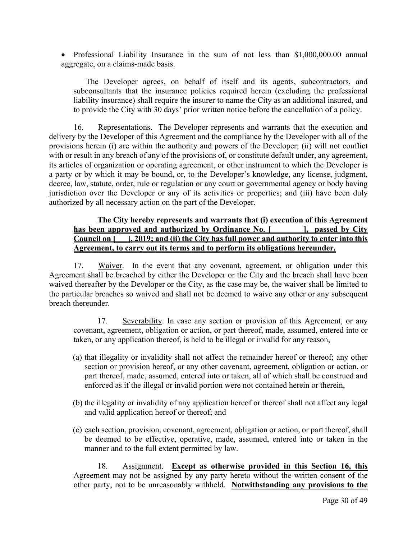Professional Liability Insurance in the sum of not less than \$1,000,000.00 annual aggregate, on a claims-made basis.

The Developer agrees, on behalf of itself and its agents, subcontractors, and subconsultants that the insurance policies required herein (excluding the professional liability insurance) shall require the insurer to name the City as an additional insured, and to provide the City with 30 days' prior written notice before the cancellation of a policy.

16. Representations. The Developer represents and warrants that the execution and delivery by the Developer of this Agreement and the compliance by the Developer with all of the provisions herein (i) are within the authority and powers of the Developer; (ii) will not conflict with or result in any breach of any of the provisions of, or constitute default under, any agreement, its articles of organization or operating agreement, or other instrument to which the Developer is a party or by which it may be bound, or, to the Developer's knowledge, any license, judgment, decree, law, statute, order, rule or regulation or any court or governmental agency or body having jurisdiction over the Developer or any of its activities or properties; and (iii) have been duly authorized by all necessary action on the part of the Developer.

## **The City hereby represents and warrants that (i) execution of this Agreement**  has been approved and authorized by Ordinance No. [ \_\_\_\_\_\_\_], passed by City **Council on [\_\_\_], 2019; and (ii) the City has full power and authority to enter into this Agreement, to carry out its terms and to perform its obligations hereunder.**

17. Waiver.In the event that any covenant, agreement, or obligation under this Agreement shall be breached by either the Developer or the City and the breach shall have been waived thereafter by the Developer or the City, as the case may be, the waiver shall be limited to the particular breaches so waived and shall not be deemed to waive any other or any subsequent breach thereunder.

17. Severability. In case any section or provision of this Agreement, or any covenant, agreement, obligation or action, or part thereof, made, assumed, entered into or taken, or any application thereof, is held to be illegal or invalid for any reason,

- (a) that illegality or invalidity shall not affect the remainder hereof or thereof; any other section or provision hereof, or any other covenant, agreement, obligation or action, or part thereof, made, assumed, entered into or taken, all of which shall be construed and enforced as if the illegal or invalid portion were not contained herein or therein,
- (b) the illegality or invalidity of any application hereof or thereof shall not affect any legal and valid application hereof or thereof; and
- (c) each section, provision, covenant, agreement, obligation or action, or part thereof, shall be deemed to be effective, operative, made, assumed, entered into or taken in the manner and to the full extent permitted by law.

18. Assignment. **Except as otherwise provided in this Section 16, this** Agreement may not be assigned by any party hereto without the written consent of the other party, not to be unreasonably withheld. **Notwithstanding any provisions to the**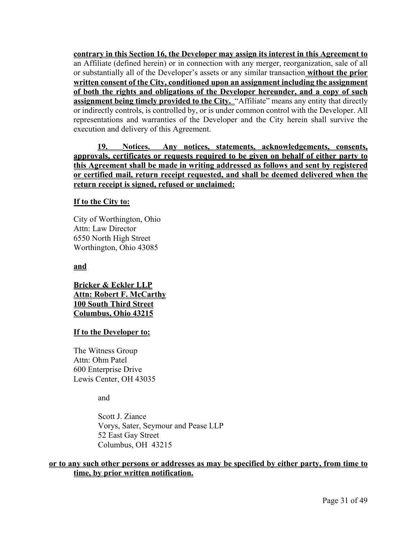**contrary in this Section 16, the Developer may assign its interest in this Agreement to**  an Affiliate (defined herein) or in connection with any merger, reorganization, sale of all or substantially all of the Developer's assets or any similar transaction **without the prior written consent of the City, conditioned upon an assignment including the assignment of both the rights and obligations of the Developer hereunder, and a copy of such assignment being timely provided to the City.** "Affiliate" means any entity that directly or indirectly controls, is controlled by, or is under common control with the Developer. All representations and warranties of the Developer and the City herein shall survive the execution and delivery of this Agreement.

**19. Notices. Any notices, statements, acknowledgements, consents, approvals, certificates or requests required to be given on behalf of either party to this Agreement shall be made in writing addressed as follows and sent by registered or certified mail, return receipt requested, and shall be deemed delivered when the return receipt is signed, refused or unclaimed:**

### **If to the City to:**

City of Worthington, Ohio Attn: Law Director 6550 North High Street Worthington, Ohio 43085

**and**

**Bricker & Eckler LLP Attn: Robert F. McCarthy 100 South Third Street Columbus, Ohio 43215**

### **If to the Developer to:**

The Witness Group Attn: Ohm Patel 600 Enterprise Drive Lewis Center, OH 43035

and

 Scott J. Ziance Vorys, Sater, Seymour and Pease LLP 52 East Gay Street Columbus, OH 43215

**or to any such other persons or addresses as may be specified by either party, from time to time, by prior written notification.**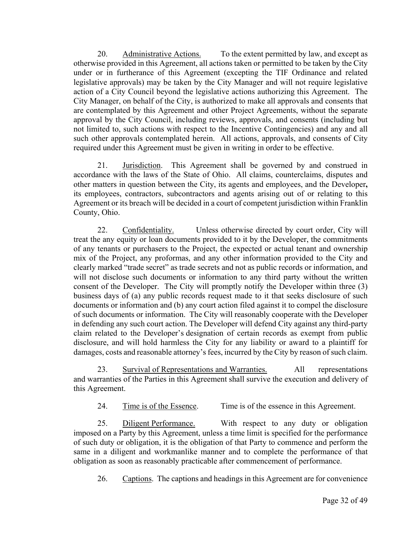20. Administrative Actions. To the extent permitted by law, and except as otherwise provided in this Agreement, all actions taken or permitted to be taken by the City under or in furtherance of this Agreement (excepting the TIF Ordinance and related legislative approvals) may be taken by the City Manager and will not require legislative action of a City Council beyond the legislative actions authorizing this Agreement. The City Manager, on behalf of the City, is authorized to make all approvals and consents that are contemplated by this Agreement and other Project Agreements, without the separate approval by the City Council, including reviews, approvals, and consents (including but not limited to, such actions with respect to the Incentive Contingencies) and any and all such other approvals contemplated herein. All actions, approvals, and consents of City required under this Agreement must be given in writing in order to be effective.

21. Jurisdiction.This Agreement shall be governed by and construed in accordance with the laws of the State of Ohio. All claims, counterclaims, disputes and other matters in question between the City, its agents and employees, and the Developer**,**  its employees, contractors, subcontractors and agents arising out of or relating to this Agreement or its breach will be decided in a court of competent jurisdiction within Franklin County, Ohio.

22. Confidentiality. Unless otherwise directed by court order, City will treat the any equity or loan documents provided to it by the Developer, the commitments of any tenants or purchasers to the Project, the expected or actual tenant and ownership mix of the Project, any proformas, and any other information provided to the City and clearly marked "trade secret" as trade secrets and not as public records or information, and will not disclose such documents or information to any third party without the written consent of the Developer. The City will promptly notify the Developer within three (3) business days of (a) any public records request made to it that seeks disclosure of such documents or information and (b) any court action filed against it to compel the disclosure of such documents or information. The City will reasonably cooperate with the Developer in defending any such court action. The Developer will defend City against any third-party claim related to the Developer's designation of certain records as exempt from public disclosure, and will hold harmless the City for any liability or award to a plaintiff for damages, costs and reasonable attorney's fees, incurred by the City by reason of such claim.

23. Survival of Representations and Warranties. All representations and warranties of the Parties in this Agreement shall survive the execution and delivery of this Agreement.

24. Time is of the Essence. Time is of the essence in this Agreement.

25. Diligent Performance. With respect to any duty or obligation imposed on a Party by this Agreement, unless a time limit is specified for the performance of such duty or obligation, it is the obligation of that Party to commence and perform the same in a diligent and workmanlike manner and to complete the performance of that obligation as soon as reasonably practicable after commencement of performance.

26. Captions. The captions and headings in this Agreement are for convenience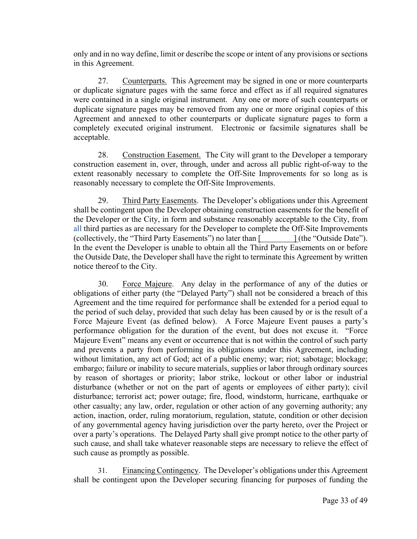only and in no way define, limit or describe the scope or intent of any provisions or sections in this Agreement.

27. Counterparts. This Agreement may be signed in one or more counterparts or duplicate signature pages with the same force and effect as if all required signatures were contained in a single original instrument. Any one or more of such counterparts or duplicate signature pages may be removed from any one or more original copies of this Agreement and annexed to other counterparts or duplicate signature pages to form a completely executed original instrument. Electronic or facsimile signatures shall be acceptable.

28. Construction Easement. The City will grant to the Developer a temporary construction easement in, over, through, under and across all public right-of-way to the extent reasonably necessary to complete the Off-Site Improvements for so long as is reasonably necessary to complete the Off-Site Improvements.

29. Third Party Easements. The Developer's obligations under this Agreement shall be contingent upon the Developer obtaining construction easements for the benefit of the Developer or the City, in form and substance reasonably acceptable to the City, from all third parties as are necessary for the Developer to complete the Off-Site Improvements (collectively, the "Third Party Easements") no later than [ ] (the "Outside Date"). In the event the Developer is unable to obtain all the Third Party Easements on or before the Outside Date, the Developer shall have the right to terminate this Agreement by written notice thereof to the City.

30. Force Majeure. Any delay in the performance of any of the duties or obligations of either party (the "Delayed Party") shall not be considered a breach of this Agreement and the time required for performance shall be extended for a period equal to the period of such delay, provided that such delay has been caused by or is the result of a Force Majeure Event (as defined below). A Force Majeure Event pauses a party's performance obligation for the duration of the event, but does not excuse it. "Force Majeure Event" means any event or occurrence that is not within the control of such party and prevents a party from performing its obligations under this Agreement, including without limitation, any act of God; act of a public enemy; war; riot; sabotage; blockage; embargo; failure or inability to secure materials, supplies or labor through ordinary sources by reason of shortages or priority; labor strike, lockout or other labor or industrial disturbance (whether or not on the part of agents or employees of either party); civil disturbance; terrorist act; power outage; fire, flood, windstorm, hurricane, earthquake or other casualty; any law, order, regulation or other action of any governing authority; any action, inaction, order, ruling moratorium, regulation, statute, condition or other decision of any governmental agency having jurisdiction over the party hereto, over the Project or over a party's operations. The Delayed Party shall give prompt notice to the other party of such cause, and shall take whatever reasonable steps are necessary to relieve the effect of such cause as promptly as possible.

31. Financing Contingency. The Developer's obligations under this Agreement shall be contingent upon the Developer securing financing for purposes of funding the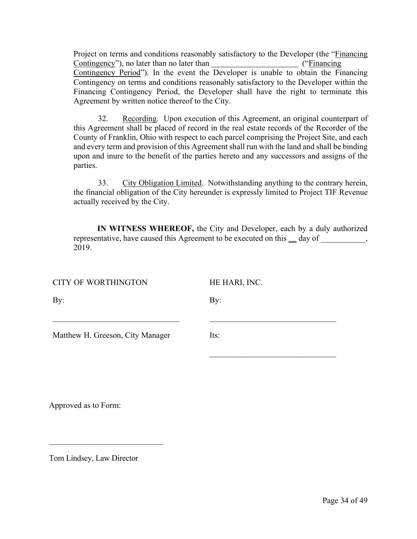Project on terms and conditions reasonably satisfactory to the Developer (the "Financing Contingency"), no later than no later than ("Financing Contingency Period"). In the event the Developer is unable to obtain the Financing Contingency on terms and conditions reasonably satisfactory to the Developer within the Financing Contingency Period, the Developer shall have the right to terminate this Agreement by written notice thereof to the City.

32. Recording. Upon execution of this Agreement, an original counterpart of this Agreement shall be placed of record in the real estate records of the Recorder of the County of Franklin, Ohio with respect to each parcel comprising the Project Site, and each and every term and provision of this Agreement shall run with the land and shall be binding upon and inure to the benefit of the parties hereto and any successors and assigns of the parties.

33. City Obligation Limited. Notwithstanding anything to the contrary herein, the financial obligation of the City hereunder is expressly limited to Project TIF Revenue actually received by the City.

**IN WITNESS WHEREOF,** the City and Developer, each by a duly authorized representative, have caused this Agreement to be executed on this **\_\_** day of \_\_\_\_\_\_\_\_\_\_\_, 2019.

| <b>CITY OF WORTHINGTON</b>       | HE HARI, INC. |
|----------------------------------|---------------|
| By:                              | By:           |
| Matthew H. Greeson, City Manager | Its:          |
|                                  |               |

Approved as to Form:

Tom Lindsey, Law Director

 $\mathcal{L}_\text{max}$  , where  $\mathcal{L}_\text{max}$  and  $\mathcal{L}_\text{max}$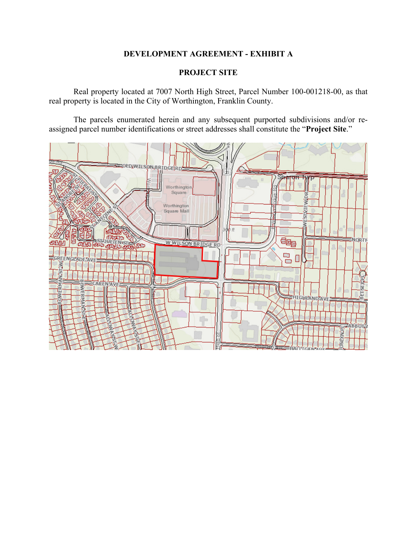# **DEVELOPMENT AGREEMENT - EXHIBIT A**

## **PROJECT SITE**

 Real property located at 7007 North High Street, Parcel Number 100-001218-00, as that real property is located in the City of Worthington, Franklin County.

 The parcels enumerated herein and any subsequent purported subdivisions and/or reassigned parcel number identifications or street addresses shall constitute the "**Project Site**."

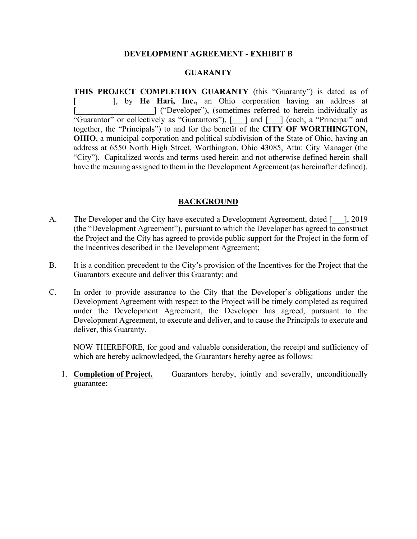### **DEVELOPMENT AGREEMENT - EXHIBIT B**

## **GUARANTY**

**THIS PROJECT COMPLETION GUARANTY** (this "Guaranty") is dated as of [\_\_\_\_\_\_\_\_\_], by **He Hari, Inc.,** an Ohio corporation having an address at [\_\_\_\_\_\_\_\_\_\_\_\_\_\_\_\_\_\_\_] ("Developer"), (sometimes referred to herein individually as "Guarantor" or collectively as "Guarantors"), [\_\_\_] and [\_\_\_] (each, a "Principal" and together, the "Principals") to and for the benefit of the **CITY OF WORTHINGTON, OHIO**, a municipal corporation and political subdivision of the State of Ohio, having an address at 6550 North High Street, Worthington, Ohio 43085, Attn: City Manager (the "City"). Capitalized words and terms used herein and not otherwise defined herein shall have the meaning assigned to them in the Development Agreement (as hereinafter defined).

## **BACKGROUND**

- A. The Developer and the City have executed a Development Agreement, dated [  $\dot{ }$ ], 2019 (the "Development Agreement"), pursuant to which the Developer has agreed to construct the Project and the City has agreed to provide public support for the Project in the form of the Incentives described in the Development Agreement;
- B. It is a condition precedent to the City's provision of the Incentives for the Project that the Guarantors execute and deliver this Guaranty; and
- C. In order to provide assurance to the City that the Developer's obligations under the Development Agreement with respect to the Project will be timely completed as required under the Development Agreement, the Developer has agreed, pursuant to the Development Agreement, to execute and deliver, and to cause the Principals to execute and deliver, this Guaranty.

 NOW THEREFORE, for good and valuable consideration, the receipt and sufficiency of which are hereby acknowledged, the Guarantors hereby agree as follows:

1. **Completion of Project.** Guarantors hereby, jointly and severally, unconditionally guarantee: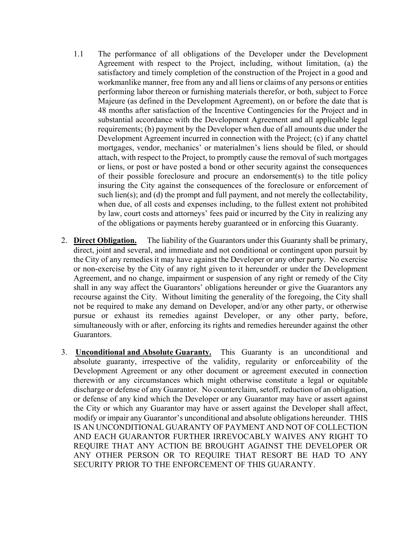- 1.1 The performance of all obligations of the Developer under the Development Agreement with respect to the Project, including, without limitation, (a) the satisfactory and timely completion of the construction of the Project in a good and workmanlike manner, free from any and all liens or claims of any persons or entities performing labor thereon or furnishing materials therefor, or both, subject to Force Majeure (as defined in the Development Agreement), on or before the date that is 48 months after satisfaction of the Incentive Contingencies for the Project and in substantial accordance with the Development Agreement and all applicable legal requirements; (b) payment by the Developer when due of all amounts due under the Development Agreement incurred in connection with the Project; (c) if any chattel mortgages, vendor, mechanics' or materialmen's liens should be filed, or should attach, with respect to the Project, to promptly cause the removal of such mortgages or liens, or post or have posted a bond or other security against the consequences of their possible foreclosure and procure an endorsement(s) to the title policy insuring the City against the consequences of the foreclosure or enforcement of such lien(s); and (d) the prompt and full payment, and not merely the collectability, when due, of all costs and expenses including, to the fullest extent not prohibited by law, court costs and attorneys' fees paid or incurred by the City in realizing any of the obligations or payments hereby guaranteed or in enforcing this Guaranty.
- 2. **Direct Obligation.** The liability of the Guarantors under this Guaranty shall be primary, direct, joint and several, and immediate and not conditional or contingent upon pursuit by the City of any remedies it may have against the Developer or any other party. No exercise or non-exercise by the City of any right given to it hereunder or under the Development Agreement, and no change, impairment or suspension of any right or remedy of the City shall in any way affect the Guarantors' obligations hereunder or give the Guarantors any recourse against the City. Without limiting the generality of the foregoing, the City shall not be required to make any demand on Developer, and/or any other party, or otherwise pursue or exhaust its remedies against Developer, or any other party, before, simultaneously with or after, enforcing its rights and remedies hereunder against the other Guarantors.
- 3. **Unconditional and Absolute Guaranty.** This Guaranty is an unconditional and absolute guaranty, irrespective of the validity, regularity or enforceability of the Development Agreement or any other document or agreement executed in connection therewith or any circumstances which might otherwise constitute a legal or equitable discharge or defense of any Guarantor. No counterclaim, setoff, reduction of an obligation, or defense of any kind which the Developer or any Guarantor may have or assert against the City or which any Guarantor may have or assert against the Developer shall affect, modify or impair any Guarantor's unconditional and absolute obligations hereunder. THIS IS AN UNCONDITIONAL GUARANTY OF PAYMENT AND NOT OF COLLECTION AND EACH GUARANTOR FURTHER IRREVOCABLY WAIVES ANY RIGHT TO REQUIRE THAT ANY ACTION BE BROUGHT AGAINST THE DEVELOPER OR ANY OTHER PERSON OR TO REQUIRE THAT RESORT BE HAD TO ANY SECURITY PRIOR TO THE ENFORCEMENT OF THIS GUARANTY.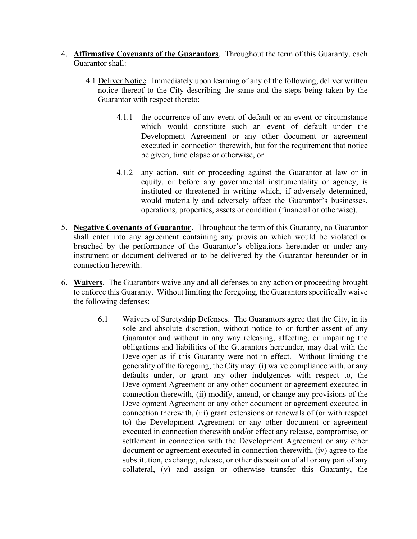- 4. **Affirmative Covenants of the Guarantors**. Throughout the term of this Guaranty, each Guarantor shall:
	- 4.1 Deliver Notice. Immediately upon learning of any of the following, deliver written notice thereof to the City describing the same and the steps being taken by the Guarantor with respect thereto:
		- 4.1.1 the occurrence of any event of default or an event or circumstance which would constitute such an event of default under the Development Agreement or any other document or agreement executed in connection therewith, but for the requirement that notice be given, time elapse or otherwise, or
		- 4.1.2 any action, suit or proceeding against the Guarantor at law or in equity, or before any governmental instrumentality or agency, is instituted or threatened in writing which, if adversely determined, would materially and adversely affect the Guarantor's businesses, operations, properties, assets or condition (financial or otherwise).
- 5. **Negative Covenants of Guarantor**. Throughout the term of this Guaranty, no Guarantor shall enter into any agreement containing any provision which would be violated or breached by the performance of the Guarantor's obligations hereunder or under any instrument or document delivered or to be delivered by the Guarantor hereunder or in connection herewith.
- 6. **Waivers**. The Guarantors waive any and all defenses to any action or proceeding brought to enforce this Guaranty. Without limiting the foregoing, the Guarantors specifically waive the following defenses:
	- 6.1 Waivers of Suretyship Defenses. The Guarantors agree that the City, in its sole and absolute discretion, without notice to or further assent of any Guarantor and without in any way releasing, affecting, or impairing the obligations and liabilities of the Guarantors hereunder, may deal with the Developer as if this Guaranty were not in effect. Without limiting the generality of the foregoing, the City may: (i) waive compliance with, or any defaults under, or grant any other indulgences with respect to, the Development Agreement or any other document or agreement executed in connection therewith, (ii) modify, amend, or change any provisions of the Development Agreement or any other document or agreement executed in connection therewith, (iii) grant extensions or renewals of (or with respect to) the Development Agreement or any other document or agreement executed in connection therewith and/or effect any release, compromise, or settlement in connection with the Development Agreement or any other document or agreement executed in connection therewith, (iv) agree to the substitution, exchange, release, or other disposition of all or any part of any collateral, (v) and assign or otherwise transfer this Guaranty, the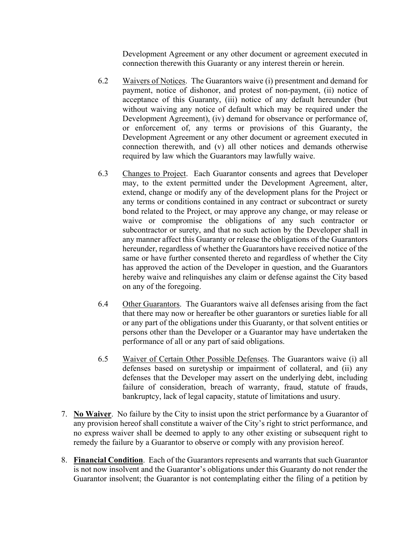Development Agreement or any other document or agreement executed in connection therewith this Guaranty or any interest therein or herein.

- 6.2 Waivers of Notices. The Guarantors waive (i) presentment and demand for payment, notice of dishonor, and protest of non-payment, (ii) notice of acceptance of this Guaranty, (iii) notice of any default hereunder (but without waiving any notice of default which may be required under the Development Agreement), (iv) demand for observance or performance of, or enforcement of, any terms or provisions of this Guaranty, the Development Agreement or any other document or agreement executed in connection therewith, and (v) all other notices and demands otherwise required by law which the Guarantors may lawfully waive.
- 6.3 Changes to Project. Each Guarantor consents and agrees that Developer may, to the extent permitted under the Development Agreement, alter, extend, change or modify any of the development plans for the Project or any terms or conditions contained in any contract or subcontract or surety bond related to the Project, or may approve any change, or may release or waive or compromise the obligations of any such contractor or subcontractor or surety, and that no such action by the Developer shall in any manner affect this Guaranty or release the obligations of the Guarantors hereunder, regardless of whether the Guarantors have received notice of the same or have further consented thereto and regardless of whether the City has approved the action of the Developer in question, and the Guarantors hereby waive and relinquishes any claim or defense against the City based on any of the foregoing.
- 6.4 Other Guarantors. The Guarantors waive all defenses arising from the fact that there may now or hereafter be other guarantors or sureties liable for all or any part of the obligations under this Guaranty, or that solvent entities or persons other than the Developer or a Guarantor may have undertaken the performance of all or any part of said obligations.
- 6.5 Waiver of Certain Other Possible Defenses. The Guarantors waive (i) all defenses based on suretyship or impairment of collateral, and (ii) any defenses that the Developer may assert on the underlying debt, including failure of consideration, breach of warranty, fraud, statute of frauds, bankruptcy, lack of legal capacity, statute of limitations and usury.
- 7. **No Waiver**. No failure by the City to insist upon the strict performance by a Guarantor of any provision hereof shall constitute a waiver of the City's right to strict performance, and no express waiver shall be deemed to apply to any other existing or subsequent right to remedy the failure by a Guarantor to observe or comply with any provision hereof.
- 8. **Financial Condition**. Each of the Guarantors represents and warrants that such Guarantor is not now insolvent and the Guarantor's obligations under this Guaranty do not render the Guarantor insolvent; the Guarantor is not contemplating either the filing of a petition by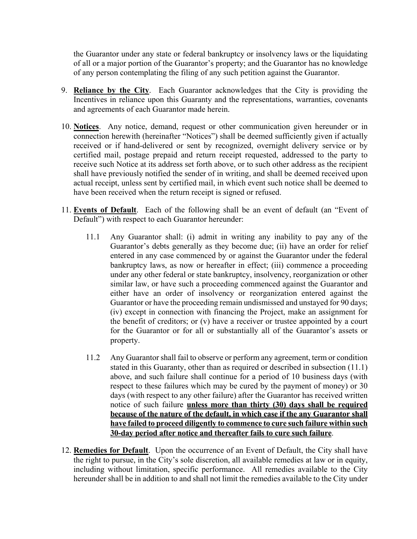the Guarantor under any state or federal bankruptcy or insolvency laws or the liquidating of all or a major portion of the Guarantor's property; and the Guarantor has no knowledge of any person contemplating the filing of any such petition against the Guarantor.

- 9. **Reliance by the City**. Each Guarantor acknowledges that the City is providing the Incentives in reliance upon this Guaranty and the representations, warranties, covenants and agreements of each Guarantor made herein.
- 10. **Notices**. Any notice, demand, request or other communication given hereunder or in connection herewith (hereinafter "Notices") shall be deemed sufficiently given if actually received or if hand-delivered or sent by recognized, overnight delivery service or by certified mail, postage prepaid and return receipt requested, addressed to the party to receive such Notice at its address set forth above, or to such other address as the recipient shall have previously notified the sender of in writing, and shall be deemed received upon actual receipt, unless sent by certified mail, in which event such notice shall be deemed to have been received when the return receipt is signed or refused.
- 11. **Events of Default**. Each of the following shall be an event of default (an "Event of Default") with respect to each Guarantor hereunder:
	- 11.1 Any Guarantor shall: (i) admit in writing any inability to pay any of the Guarantor's debts generally as they become due; (ii) have an order for relief entered in any case commenced by or against the Guarantor under the federal bankruptcy laws, as now or hereafter in effect; (iii) commence a proceeding under any other federal or state bankruptcy, insolvency, reorganization or other similar law, or have such a proceeding commenced against the Guarantor and either have an order of insolvency or reorganization entered against the Guarantor or have the proceeding remain undismissed and unstayed for 90 days; (iv) except in connection with financing the Project, make an assignment for the benefit of creditors; or (v) have a receiver or trustee appointed by a court for the Guarantor or for all or substantially all of the Guarantor's assets or property.
	- 11.2 Any Guarantor shall fail to observe or perform any agreement, term or condition stated in this Guaranty, other than as required or described in subsection (11.1) above, and such failure shall continue for a period of 10 business days (with respect to these failures which may be cured by the payment of money) or 30 days (with respect to any other failure) after the Guarantor has received written notice of such failure **unless more than thirty (30) days shall be required because of the nature of the default, in which case if the any Guarantor shall have failed to proceed diligently to commence to cure such failure within such 30-day period after notice and thereafter fails to cure such failure**.
- 12. **Remedies for Default**. Upon the occurrence of an Event of Default, the City shall have the right to pursue, in the City's sole discretion, all available remedies at law or in equity, including without limitation, specific performance. All remedies available to the City hereunder shall be in addition to and shall not limit the remedies available to the City under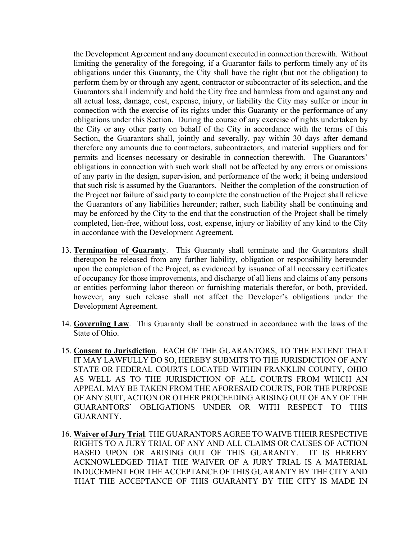the Development Agreement and any document executed in connection therewith. Without limiting the generality of the foregoing, if a Guarantor fails to perform timely any of its obligations under this Guaranty, the City shall have the right (but not the obligation) to perform them by or through any agent, contractor or subcontractor of its selection, and the Guarantors shall indemnify and hold the City free and harmless from and against any and all actual loss, damage, cost, expense, injury, or liability the City may suffer or incur in connection with the exercise of its rights under this Guaranty or the performance of any obligations under this Section. During the course of any exercise of rights undertaken by the City or any other party on behalf of the City in accordance with the terms of this Section, the Guarantors shall, jointly and severally, pay within 30 days after demand therefore any amounts due to contractors, subcontractors, and material suppliers and for permits and licenses necessary or desirable in connection therewith. The Guarantors' obligations in connection with such work shall not be affected by any errors or omissions of any party in the design, supervision, and performance of the work; it being understood that such risk is assumed by the Guarantors. Neither the completion of the construction of the Project nor failure of said party to complete the construction of the Project shall relieve the Guarantors of any liabilities hereunder; rather, such liability shall be continuing and may be enforced by the City to the end that the construction of the Project shall be timely completed, lien-free, without loss, cost, expense, injury or liability of any kind to the City in accordance with the Development Agreement.

- 13. **Termination of Guaranty**. This Guaranty shall terminate and the Guarantors shall thereupon be released from any further liability, obligation or responsibility hereunder upon the completion of the Project, as evidenced by issuance of all necessary certificates of occupancy for those improvements, and discharge of all liens and claims of any persons or entities performing labor thereon or furnishing materials therefor, or both, provided, however, any such release shall not affect the Developer's obligations under the Development Agreement.
- 14. **Governing Law**. This Guaranty shall be construed in accordance with the laws of the State of Ohio.
- 15. **Consent to Jurisdiction**. EACH OF THE GUARANTORS, TO THE EXTENT THAT IT MAY LAWFULLY DO SO, HEREBY SUBMITS TO THE JURISDICTION OF ANY STATE OR FEDERAL COURTS LOCATED WITHIN FRANKLIN COUNTY, OHIO AS WELL AS TO THE JURISDICTION OF ALL COURTS FROM WHICH AN APPEAL MAY BE TAKEN FROM THE AFORESAID COURTS, FOR THE PURPOSE OF ANY SUIT, ACTION OR OTHER PROCEEDING ARISING OUT OF ANY OF THE GUARANTORS' OBLIGATIONS UNDER OR WITH RESPECT TO THIS GUARANTY.
- 16. **Waiver of Jury Trial**. THE GUARANTORS AGREE TO WAIVE THEIR RESPECTIVE RIGHTS TO A JURY TRIAL OF ANY AND ALL CLAIMS OR CAUSES OF ACTION BASED UPON OR ARISING OUT OF THIS GUARANTY. IT IS HEREBY ACKNOWLEDGED THAT THE WAIVER OF A JURY TRIAL IS A MATERIAL INDUCEMENT FOR THE ACCEPTANCE OF THIS GUARANTY BY THE CITY AND THAT THE ACCEPTANCE OF THIS GUARANTY BY THE CITY IS MADE IN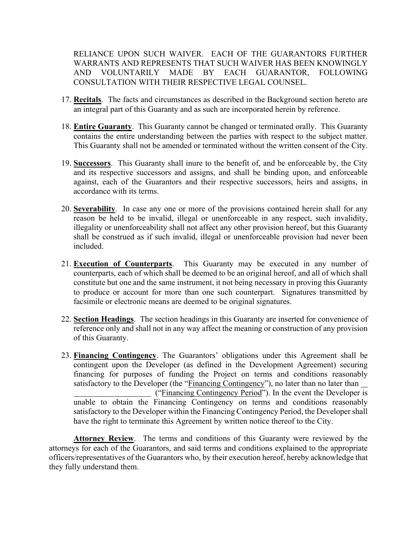RELIANCE UPON SUCH WAIVER. EACH OF THE GUARANTORS FURTHER WARRANTS AND REPRESENTS THAT SUCH WAIVER HAS BEEN KNOWINGLY AND VOLUNTARILY MADE BY EACH GUARANTOR, FOLLOWING CONSULTATION WITH THEIR RESPECTIVE LEGAL COUNSEL.

- 17. **Recitals**. The facts and circumstances as described in the Background section hereto are an integral part of this Guaranty and as such are incorporated herein by reference.
- 18. **Entire Guaranty**. This Guaranty cannot be changed or terminated orally. This Guaranty contains the entire understanding between the parties with respect to the subject matter. This Guaranty shall not be amended or terminated without the written consent of the City.
- 19. **Successors**. This Guaranty shall inure to the benefit of, and be enforceable by, the City and its respective successors and assigns, and shall be binding upon, and enforceable against, each of the Guarantors and their respective successors, heirs and assigns, in accordance with its terms.
- 20. **Severability**. In case any one or more of the provisions contained herein shall for any reason be held to be invalid, illegal or unenforceable in any respect, such invalidity, illegality or unenforceability shall not affect any other provision hereof, but this Guaranty shall be construed as if such invalid, illegal or unenforceable provision had never been included.
- 21. **Execution of Counterparts**. This Guaranty may be executed in any number of counterparts, each of which shall be deemed to be an original hereof, and all of which shall constitute but one and the same instrument, it not being necessary in proving this Guaranty to produce or account for more than one such counterpart. Signatures transmitted by facsimile or electronic means are deemed to be original signatures.
- 22. **Section Headings**. The section headings in this Guaranty are inserted for convenience of reference only and shall not in any way affect the meaning or construction of any provision of this Guaranty.
- 23. **Financing Contingency**. The Guarantors' obligations under this Agreement shall be contingent upon the Developer (as defined in the Development Agreement) securing financing for purposes of funding the Project on terms and conditions reasonably satisfactory to the Developer (the "Financing Contingency"), no later than no later than ("Financing Contingency Period"). In the event the Developer is unable to obtain the Financing Contingency on terms and conditions reasonably satisfactory to the Developer within the Financing Contingency Period, the Developer shall have the right to terminate this Agreement by written notice thereof to the City.

**Attorney Review**. The terms and conditions of this Guaranty were reviewed by the attorneys for each of the Guarantors, and said terms and conditions explained to the appropriate officers/representatives of the Guarantors who, by their execution hereof, hereby acknowledge that they fully understand them.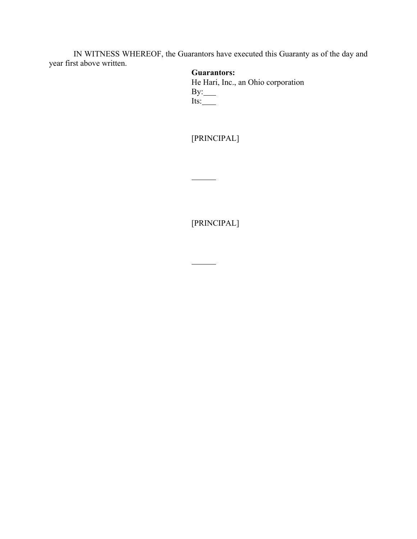IN WITNESS WHEREOF, the Guarantors have executed this Guaranty as of the day and year first above written.

# **Guarantors:**

He Hari, Inc., an Ohio corporation By: Its:

[PRINCIPAL]

 $\overline{a}$ 

[PRINCIPAL]

 $\overline{\phantom{a}}$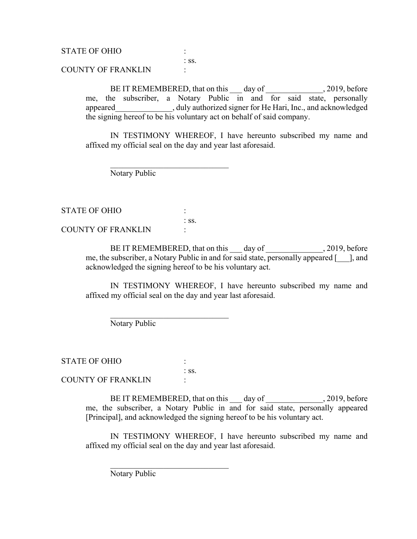STATE OF OHIO : : ss. COUNTY OF FRANKLIN :

> BE IT REMEMBERED, that on this day of 30.19, before me, the subscriber, a Notary Public in and for said state, personally appeared and ally authorized signer for He Hari, Inc., and acknowledged the signing hereof to be his voluntary act on behalf of said company.

> IN TESTIMONY WHEREOF, I have hereunto subscribed my name and affixed my official seal on the day and year last aforesaid.

Notary Public

STATE OF OHIO : : ss. COUNTY OF FRANKLIN :

> BE IT REMEMBERED, that on this day of , 2019, before me, the subscriber, a Notary Public in and for said state, personally appeared [\_\_\_], and acknowledged the signing hereof to be his voluntary act.

> IN TESTIMONY WHEREOF, I have hereunto subscribed my name and affixed my official seal on the day and year last aforesaid.

Notary Public

 $\mathcal{L}_\text{max}$  , and the set of the set of the set of the set of the set of the set of the set of the set of the set of the set of the set of the set of the set of the set of the set of the set of the set of the set of the

STATE OF OHIO : : ss. COUNTY OF FRANKLIN :

> BE IT REMEMBERED, that on this day of 30.19, before me, the subscriber, a Notary Public in and for said state, personally appeared [Principal], and acknowledged the signing hereof to be his voluntary act.

> IN TESTIMONY WHEREOF, I have hereunto subscribed my name and affixed my official seal on the day and year last aforesaid.

Notary Public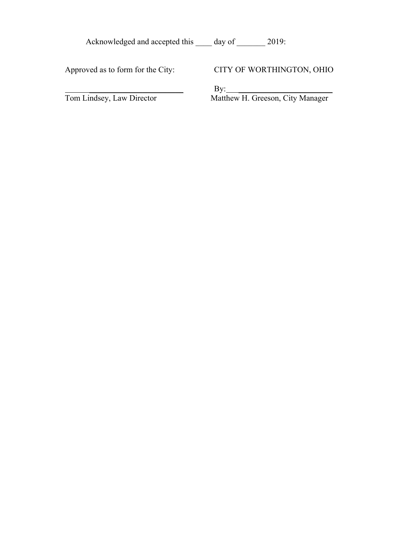| Acknowledged and accepted this | day of | 2019: |
|--------------------------------|--------|-------|
|--------------------------------|--------|-------|

Approved as to form for the City:

 $\overline{\phantom{a}}$  , where  $\overline{\phantom{a}}$  , where  $\overline{\phantom{a}}$  , where  $\overline{\phantom{a}}$  , where  $\overline{\phantom{a}}$ Tom Lindsey, Law Director

CITY OF WORTHINGTON, OHIO

By: \_\_\_\_\_\_\_\_\_\_\_\_\_\_\_\_\_\_\_\_\_\_\_

Matthew H. Greeson, City Manager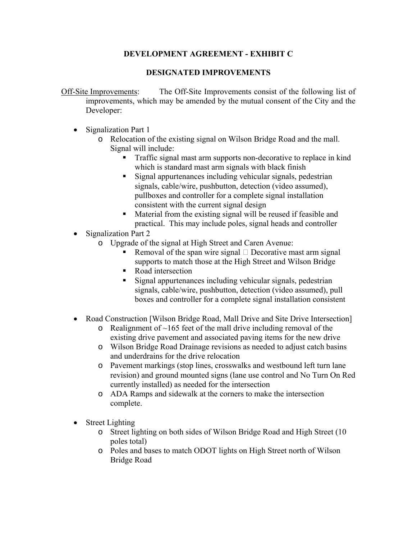# **DEVELOPMENT AGREEMENT - EXHIBIT C**

# **DESIGNATED IMPROVEMENTS**

Off-Site Improvements: The Off-Site Improvements consist of the following list of improvements, which may be amended by the mutual consent of the City and the Developer:

- Signalization Part 1
	- o Relocation of the existing signal on Wilson Bridge Road and the mall. Signal will include:
		- Traffic signal mast arm supports non-decorative to replace in kind which is standard mast arm signals with black finish
		- Signal appurtenances including vehicular signals, pedestrian signals, cable/wire, pushbutton, detection (video assumed), pullboxes and controller for a complete signal installation consistent with the current signal design
		- Material from the existing signal will be reused if feasible and practical. This may include poles, signal heads and controller
- Signalization Part 2
	- o Upgrade of the signal at High Street and Caren Avenue:
		- Removal of the span wire signal  $\Box$  Decorative mast arm signal supports to match those at the High Street and Wilson Bridge
		- Road intersection
		- Signal appurtenances including vehicular signals, pedestrian signals, cable/wire, pushbutton, detection (video assumed), pull boxes and controller for a complete signal installation consistent
- Road Construction [Wilson Bridge Road, Mall Drive and Site Drive Intersection]
	- $\circ$  Realignment of ~165 feet of the mall drive including removal of the existing drive pavement and associated paving items for the new drive
	- o Wilson Bridge Road Drainage revisions as needed to adjust catch basins and underdrains for the drive relocation
	- o Pavement markings (stop lines, crosswalks and westbound left turn lane revision) and ground mounted signs (lane use control and No Turn On Red currently installed) as needed for the intersection
	- o ADA Ramps and sidewalk at the corners to make the intersection complete.
- Street Lighting
	- o Street lighting on both sides of Wilson Bridge Road and High Street (10 poles total)
	- o Poles and bases to match ODOT lights on High Street north of Wilson Bridge Road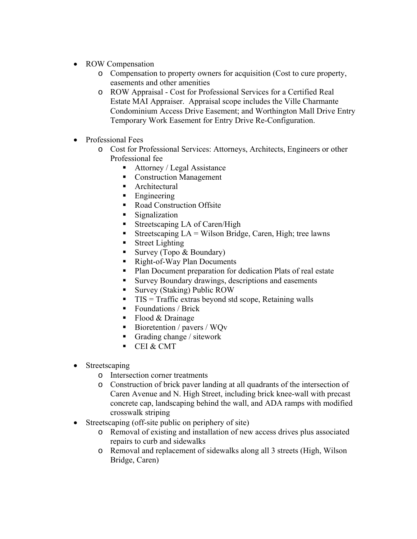- ROW Compensation
	- o Compensation to property owners for acquisition (Cost to cure property, easements and other amenities
	- o ROW Appraisal Cost for Professional Services for a Certified Real Estate MAI Appraiser. Appraisal scope includes the Ville Charmante Condominium Access Drive Easement; and Worthington Mall Drive Entry Temporary Work Easement for Entry Drive Re-Configuration.
- Professional Fees
	- o Cost for Professional Services: Attorneys, Architects, Engineers or other Professional fee
		- Attorney / Legal Assistance
		- **Construction Management**
		- **Architectural**
		- **Engineering**
		- Road Construction Offsite
		- **Signalization**
		- Streetscaping LA of Caren/High
		- Streetscaping  $LA = Wilson Bridge$ , Caren, High; tree lawns
		- **Street Lighting**
		- Survey (Topo  $& Boundary$ )
		- Right-of-Way Plan Documents
		- **Plan Document preparation for dedication Plats of real estate**
		- Survey Boundary drawings, descriptions and easements
		- Survey (Staking) Public ROW
		- $\blacksquare$  TIS = Traffic extras beyond std scope, Retaining walls
		- Foundations / Brick
		- $\blacksquare$  Flood & Drainage
		- Bioretention / pavers /  $WQv$
		- Grading change / sitework
		- CEI & CMT
- Streetscaping
	- o Intersection corner treatments
	- o Construction of brick paver landing at all quadrants of the intersection of Caren Avenue and N. High Street, including brick knee-wall with precast concrete cap, landscaping behind the wall, and ADA ramps with modified crosswalk striping
- Streetscaping (off-site public on periphery of site)
	- o Removal of existing and installation of new access drives plus associated repairs to curb and sidewalks
	- o Removal and replacement of sidewalks along all 3 streets (High, Wilson Bridge, Caren)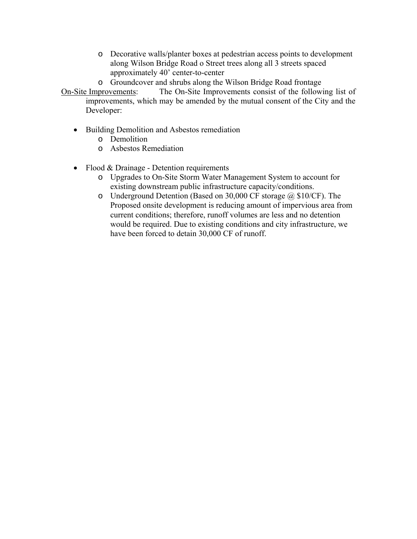- o Decorative walls/planter boxes at pedestrian access points to development along Wilson Bridge Road o Street trees along all 3 streets spaced approximately 40' center-to-center
- o Groundcover and shrubs along the Wilson Bridge Road frontage
- On-Site Improvements: The On-Site Improvements consist of the following list of improvements, which may be amended by the mutual consent of the City and the Developer:
	- Building Demolition and Asbestos remediation
		- o Demolition
		- o Asbestos Remediation
	- Flood & Drainage Detention requirements
		- o Upgrades to On-Site Storm Water Management System to account for existing downstream public infrastructure capacity/conditions.
		- o Underground Detention (Based on 30,000 CF storage @ \$10/CF). The Proposed onsite development is reducing amount of impervious area from current conditions; therefore, runoff volumes are less and no detention would be required. Due to existing conditions and city infrastructure, we have been forced to detain 30,000 CF of runoff.